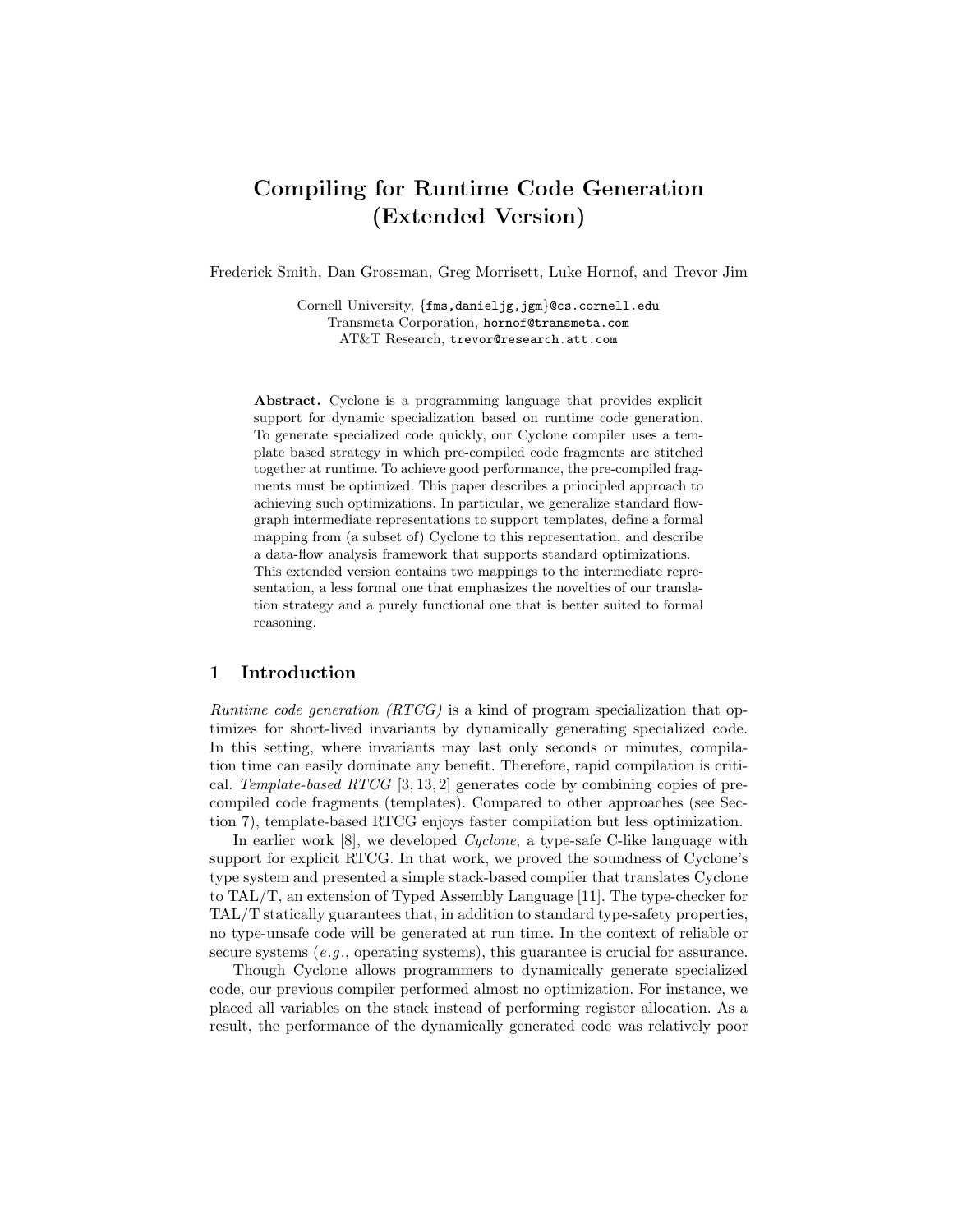# **Compiling for Runtime Code Generation (Extended Version)**

Frederick Smith, Dan Grossman, Greg Morrisett, Luke Hornof, and Trevor Jim

Cornell University, {fms,danieljg,jgm}@cs.cornell.edu Transmeta Corporation, hornof@transmeta.com AT&T Research, trevor@research.att.com

**Abstract.** Cyclone is a programming language that provides explicit support for dynamic specialization based on runtime code generation. To generate specialized code quickly, our Cyclone compiler uses a template based strategy in which pre-compiled code fragments are stitched together at runtime. To achieve good performance, the pre-compiled fragments must be optimized. This paper describes a principled approach to achieving such optimizations. In particular, we generalize standard flowgraph intermediate representations to support templates, define a formal mapping from (a subset of) Cyclone to this representation, and describe a data-flow analysis framework that supports standard optimizations. This extended version contains two mappings to the intermediate representation, a less formal one that emphasizes the novelties of our translation strategy and a purely functional one that is better suited to formal reasoning.

#### **1 Introduction**

*Runtime code generation (RTCG)* is a kind of program specialization that optimizes for short-lived invariants by dynamically generating specialized code. In this setting, where invariants may last only seconds or minutes, compilation time can easily dominate any benefit. Therefore, rapid compilation is critical. *Template-based RTCG* [3, 13, 2] generates code by combining copies of precompiled code fragments (templates). Compared to other approaches (see Section 7), template-based RTCG enjoys faster compilation but less optimization.

In earlier work [8], we developed *Cyclone*, a type-safe C-like language with support for explicit RTCG. In that work, we proved the soundness of Cyclone's type system and presented a simple stack-based compiler that translates Cyclone to TAL/T, an extension of Typed Assembly Language [11]. The type-checker for TAL/T statically guarantees that, in addition to standard type-safety properties, no type-unsafe code will be generated at run time. In the context of reliable or secure systems (*e.g .*, operating systems), this guarantee is crucial for assurance.

Though Cyclone allows programmers to dynamically generate specialized code, our previous compiler performed almost no optimization. For instance, we placed all variables on the stack instead of performing register allocation. As a result, the performance of the dynamically generated code was relatively poor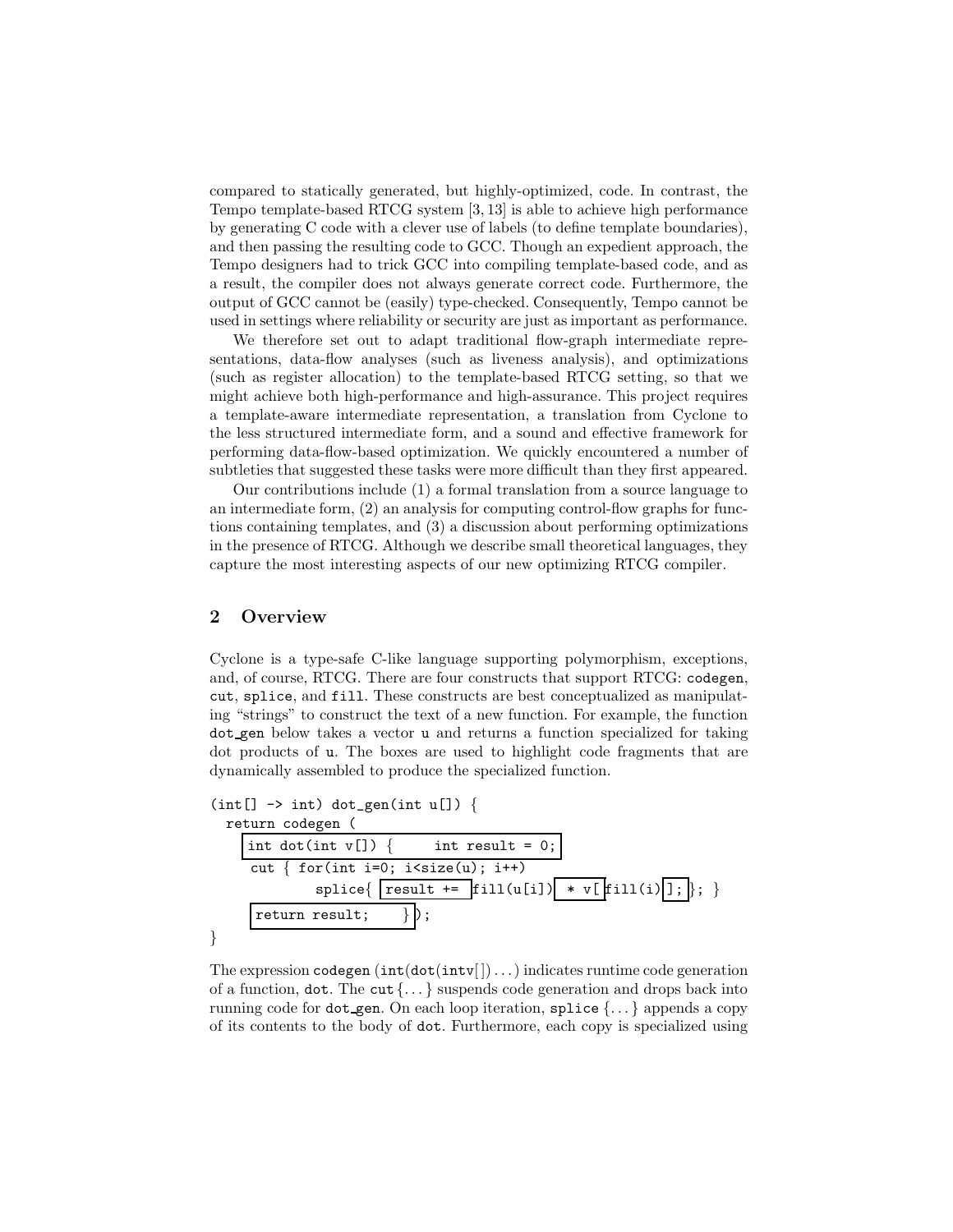compared to statically generated, but highly-optimized, code. In contrast, the Tempo template-based RTCG system [3, 13] is able to achieve high performance by generating C code with a clever use of labels (to define template boundaries), and then passing the resulting code to GCC. Though an expedient approach, the Tempo designers had to trick GCC into compiling template-based code, and as a result, the compiler does not always generate correct code. Furthermore, the output of GCC cannot be (easily) type-checked. Consequently, Tempo cannot be used in settings where reliability or security are just as important as performance.

We therefore set out to adapt traditional flow-graph intermediate representations, data-flow analyses (such as liveness analysis), and optimizations (such as register allocation) to the template-based RTCG setting, so that we might achieve both high-performance and high-assurance. This project requires a template-aware intermediate representation, a translation from Cyclone to the less structured intermediate form, and a sound and effective framework for performing data-flow-based optimization. We quickly encountered a number of subtleties that suggested these tasks were more difficult than they first appeared.

Our contributions include (1) a formal translation from a source language to an intermediate form, (2) an analysis for computing control-flow graphs for functions containing templates, and (3) a discussion about performing optimizations in the presence of RTCG. Although we describe small theoretical languages, they capture the most interesting aspects of our new optimizing RTCG compiler.

# **2 Overview**

Cyclone is a type-safe C-like language supporting polymorphism, exceptions, and, of course, RTCG. There are four constructs that support RTCG: codegen, cut, splice, and fill. These constructs are best conceptualized as manipulating "strings" to construct the text of a new function. For example, the function dot gen below takes a vector u and returns a function specialized for taking dot products of u. The boxes are used to highlight code fragments that are dynamically assembled to produce the specialized function.

```
(int[] \rightarrow int) dot-gen(int u[])return codegen (
     int dot(int v[]) { int result = 0;
     cut { for(int i=0; i<size(u); i++)
              spline{\ result \leftarrow \text{fill}(u[i]) \right] * v[fill(i)]; \};return result;
}
```
The expression codegen  $(int(\text{dot}(int)[-...])$  indicates runtime code generation of a function,  $\det$ . The cut  $\{\ldots\}$  suspends code generation and drops back into running code for dot gen. On each loop iteration, splice {... } appends a copy of its contents to the body of dot. Furthermore, each copy is specialized using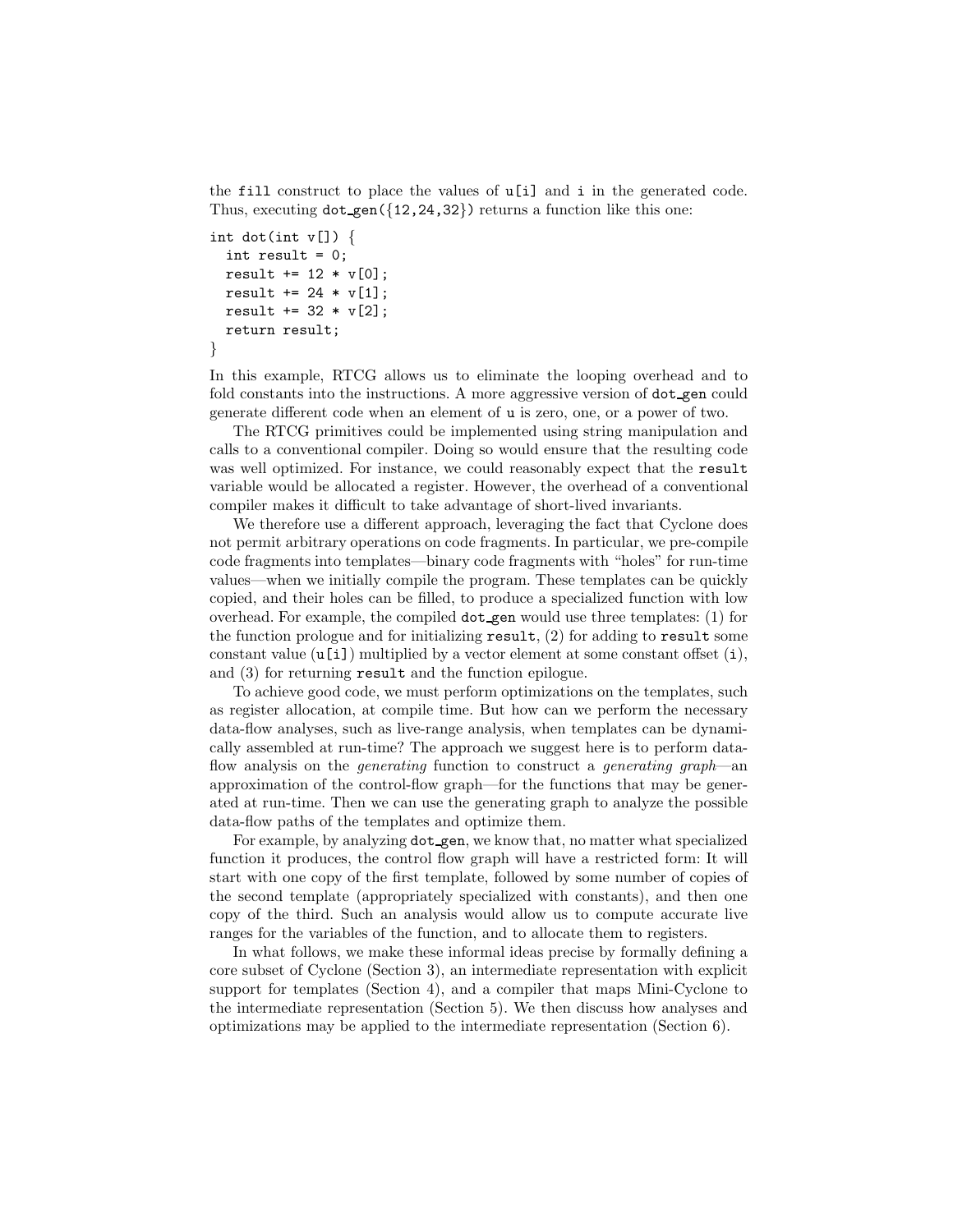the fill construct to place the values of u[i] and i in the generated code. Thus, executing  $dot_{gen}({12,24,32})$  returns a function like this one:

```
int dot(int v[]) {
  int result = 0;
 result += 12 * v[0];result += 24 * v[1];result += 32 * v[2];
  return result;
}
```
In this example, RTCG allows us to eliminate the looping overhead and to fold constants into the instructions. A more aggressive version of  $dot_{gen}$  could generate different code when an element of u is zero, one, or a power of two.

The RTCG primitives could be implemented using string manipulation and calls to a conventional compiler. Doing so would ensure that the resulting code was well optimized. For instance, we could reasonably expect that the result variable would be allocated a register. However, the overhead of a conventional compiler makes it difficult to take advantage of short-lived invariants.

We therefore use a different approach, leveraging the fact that Cyclone does not permit arbitrary operations on code fragments. In particular, we pre-compile code fragments into templates—binary code fragments with "holes" for run-time values—when we initially compile the program. These templates can be quickly copied, and their holes can be filled, to produce a specialized function with low overhead. For example, the compiled dot gen would use three templates: (1) for the function prologue and for initializing  $result$ , (2) for adding to result some constant value  $(u[i])$  multiplied by a vector element at some constant offset  $(i)$ , and (3) for returning result and the function epilogue.

To achieve good code, we must perform optimizations on the templates, such as register allocation, at compile time. But how can we perform the necessary data-flow analyses, such as live-range analysis, when templates can be dynamically assembled at run-time? The approach we suggest here is to perform dataflow analysis on the *generating* function to construct a *generating graph*—an approximation of the control-flow graph—for the functions that may be generated at run-time. Then we can use the generating graph to analyze the possible data-flow paths of the templates and optimize them.

For example, by analyzing dot gen, we know that, no matter what specialized function it produces, the control flow graph will have a restricted form: It will start with one copy of the first template, followed by some number of copies of the second template (appropriately specialized with constants), and then one copy of the third. Such an analysis would allow us to compute accurate live ranges for the variables of the function, and to allocate them to registers.

In what follows, we make these informal ideas precise by formally defining a core subset of Cyclone (Section 3), an intermediate representation with explicit support for templates (Section 4), and a compiler that maps Mini-Cyclone to the intermediate representation (Section 5). We then discuss how analyses and optimizations may be applied to the intermediate representation (Section 6).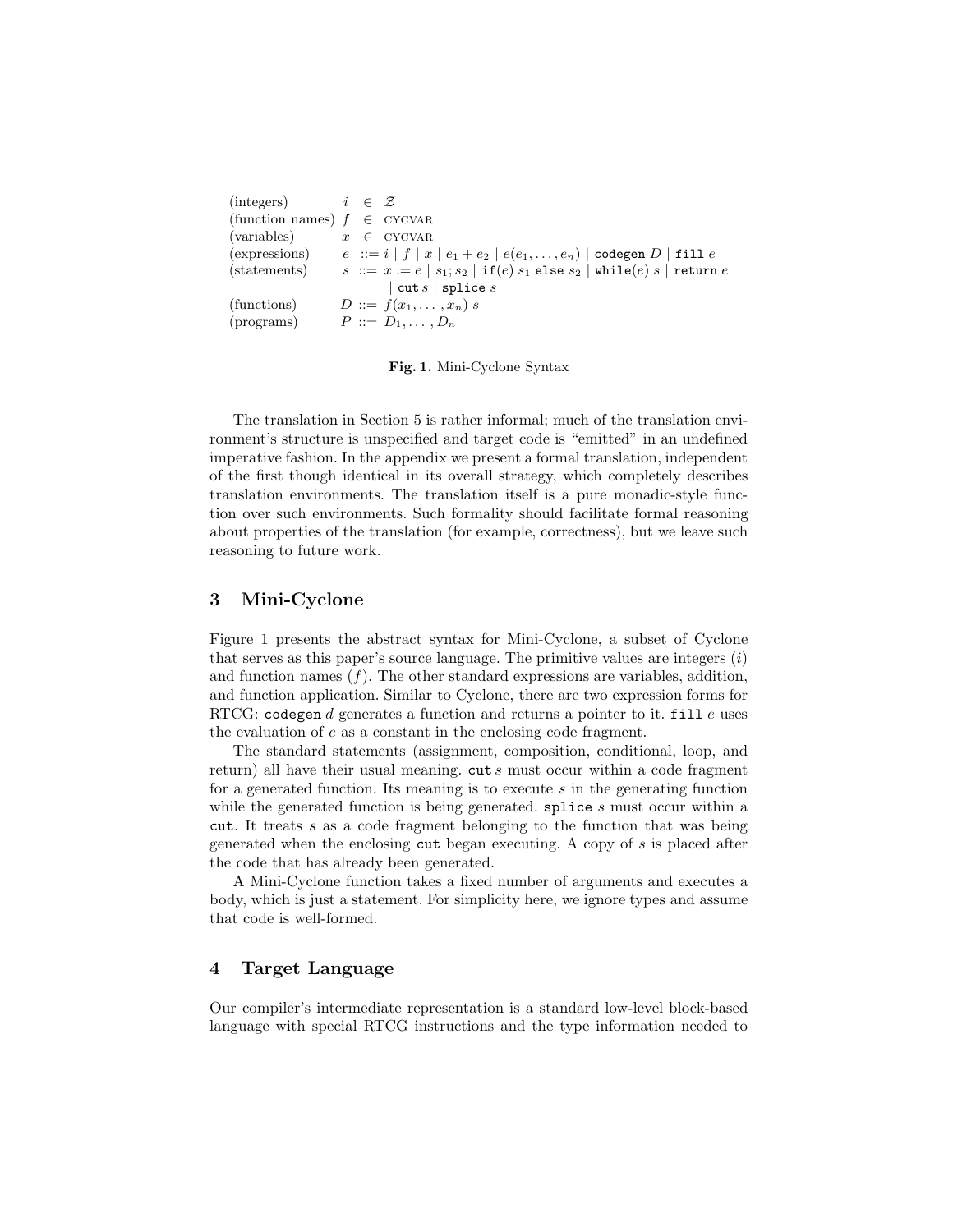| (integers) $i \in \mathcal{Z}$  |  |                                                                                                      |
|---------------------------------|--|------------------------------------------------------------------------------------------------------|
| (function names) $f \in CYCVAR$ |  |                                                                                                      |
| (variables)                     |  | $x \in$ CYCVAR                                                                                       |
| (expressions)                   |  | $e$ := $i   f   x   e_1 + e_2   e(e_1, \ldots, e_n)  $ codegen D   fill e                            |
| (statements)                    |  | $s := x := e   s_1; s_2   \text{if}(e) s_1 \text{ else } s_2   \text{while}(e) s   \text{return } e$ |
|                                 |  | $ $ cut s $ $ splice s                                                                               |
| (functions)                     |  | $D ::= f(x_1, \ldots, x_n) s$                                                                        |
| (programs)                      |  | $P ::= D_1, \ldots, D_n$                                                                             |

**Fig. 1.** Mini-Cyclone Syntax

The translation in Section 5 is rather informal; much of the translation environment's structure is unspecified and target code is "emitted" in an undefined imperative fashion. In the appendix we present a formal translation, independent of the first though identical in its overall strategy, which completely describes translation environments. The translation itself is a pure monadic-style function over such environments. Such formality should facilitate formal reasoning about properties of the translation (for example, correctness), but we leave such reasoning to future work.

## **3 Mini-Cyclone**

Figure 1 presents the abstract syntax for Mini-Cyclone, a subset of Cyclone that serves as this paper's source language. The primitive values are integers  $(i)$ and function names  $(f)$ . The other standard expressions are variables, addition, and function application. Similar to Cyclone, there are two expression forms for RTCG: codegen d generates a function and returns a pointer to it. fill  $e$  uses the evaluation of e as a constant in the enclosing code fragment.

The standard statements (assignment, composition, conditional, loop, and return) all have their usual meaning.  $\text{cut } s$  must occur within a code fragment for a generated function. Its meaning is to execute  $s$  in the generating function while the generated function is being generated. **splice** s must occur within a cut. It treats s as a code fragment belonging to the function that was being generated when the enclosing cut began executing. A copy of s is placed after the code that has already been generated.

A Mini-Cyclone function takes a fixed number of arguments and executes a body, which is just a statement. For simplicity here, we ignore types and assume that code is well-formed.

# **4 Target Language**

Our compiler's intermediate representation is a standard low-level block-based language with special RTCG instructions and the type information needed to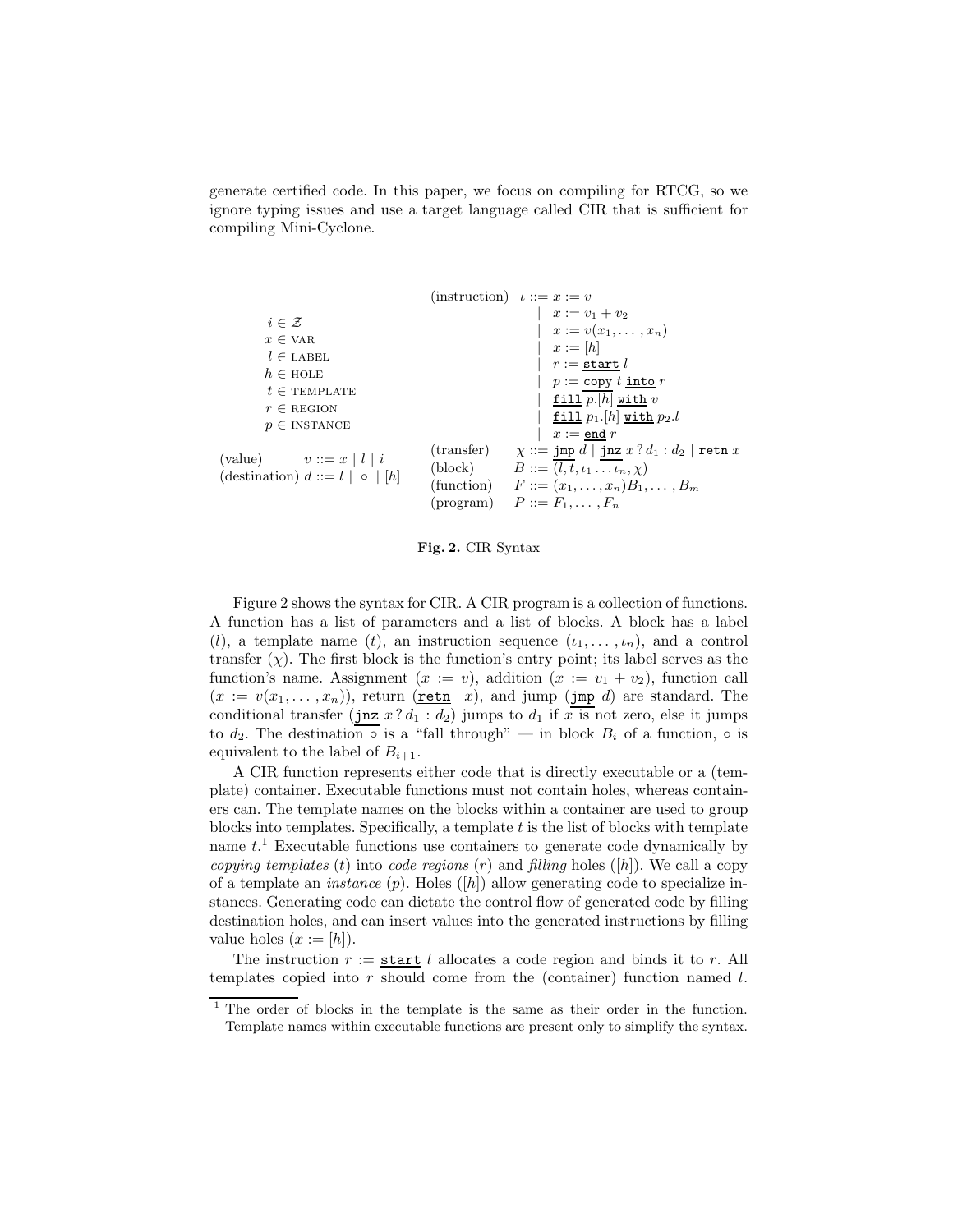generate certified code. In this paper, we focus on compiling for RTCG, so we ignore typing issues and use a target language called CIR that is sufficient for compiling Mini-Cyclone.

|                                                                                                                                                                  |                     | $\text{(instruction)} \quad \iota ::= x := v$                                                                                                                                                                                       |
|------------------------------------------------------------------------------------------------------------------------------------------------------------------|---------------------|-------------------------------------------------------------------------------------------------------------------------------------------------------------------------------------------------------------------------------------|
| $i \in \mathcal{Z}$<br>$x \in \text{VAR}$<br>$l \in \text{LABEL}$<br>$h \in \text{HOLE}$<br>$t \in \text{TEMPLATE}$<br>$r \in$ REGION<br>$p \in \text{INSTANCE}$ |                     | $x := v_1 + v_2$<br>$x:=v(x_1,\ldots,x_n)$<br>$x := [h]$<br>$r := \mathtt{start}\; l$<br>$p := \text{copy } t \text{ into } r$<br>$\frac{\texttt{fill}}{ }$ p.[h] with v<br>fill $p_1$ . $[h]$ with $p_2.l$<br>$x :=$ end $r$       |
| (value) $v ::= x   l   i$<br>(destination) $d ::= l   \circ   [h]$                                                                                               | $(\text{transfer})$ | $\chi ::= \texttt{jump} \ d \mid \texttt{jnz} \ x ? \ d_1 : d_2 \mid \texttt{retn} \ x$<br>(block) $B ::= (l, t, \iota_1 \dots \iota_n, \chi)$<br>(function) $F ::= (x_1, \ldots, x_n)B_1, \ldots, B_m$<br>$P ::= F_1, \ldots, F_n$ |

**Fig. 2.** CIR Syntax

Figure 2 shows the syntax for CIR. A CIR program is a collection of functions. A function has a list of parameters and a list of blocks. A block has a label (l), a template name (t), an instruction sequence  $(\iota_1,\ldots,\iota_n)$ , and a control transfer  $(\chi)$ . The first block is the function's entry point; its label serves as the function's name. Assignment  $(x := v)$ , addition  $(x := v_1 + v_2)$ , function call  $(x := v(x_1, \ldots, x_n))$ , return (retn x), and jump (jmp d) are standard. The conditional transfer (jnz  $x ? d_1 : d_2$ ) jumps to  $d_1$  if  $x \overline{1}$  is not zero, else it jumps to  $d_2$ . The destination  $\circ$  is a "fall through" — in block  $B_i$  of a function,  $\circ$  is equivalent to the label of  $B_{i+1}$ .

A CIR function represents either code that is directly executable or a (template) container. Executable functions must not contain holes, whereas containers can. The template names on the blocks within a container are used to group blocks into templates. Specifically, a template  $t$  is the list of blocks with template name  $t<sup>1</sup>$  Executable functions use containers to generate code dynamically by *copying templates* (t) into *code regions* (r) and *filling* holes ([h]). We call a copy of a template an *instance* (p). Holes ([h]) allow generating code to specialize instances. Generating code can dictate the control flow of generated code by filling destination holes, and can insert values into the generated instructions by filling value holes  $(x := [h])$ .

The instruction  $r :=$  start l allocates a code region and binds it to r. All templates copied into  $r$  should come from the (container) function named  $l$ .

<sup>&</sup>lt;sup>1</sup> The order of blocks in the template is the same as their order in the function. Template names within executable functions are present only to simplify the syntax.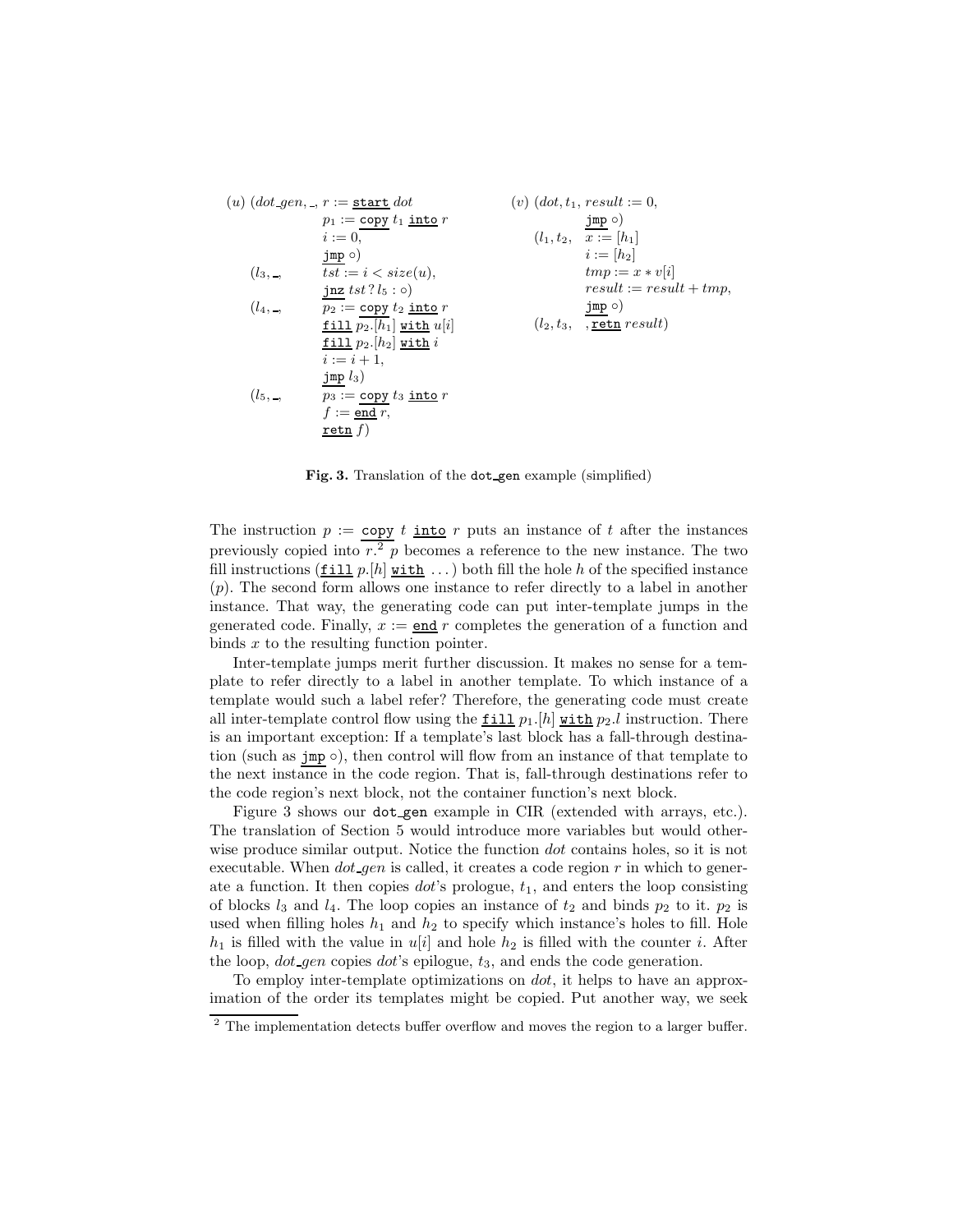$$
(u) (dot-gen,-, r := start dot \n $p_1 := \text{copy } t_1 \text{ into } r$   
\n $i := 0,$   
\n $j_m p \circlearrowleft$   
\n $(l_3, \_,$   $tst := i < size(u),$   
\n $j_m p \circlearrowleft$   
\n $(l_4, \_,$   $tst := i < size(u),$   
\n $j_m p \cdot t = x * v[i]$   
\n $j_m p \cdot t = x * v[i]$   
\n $l_4, \_,$   $p_2 := \text{copy } t_2 \text{ into } r$   
\n $f := \text{align } [p_2, [h_1] \text{ with } u[i]$   
\n $j_m p \cdot t = x + 1,$   
\n $j_m p \cdot t = x + 1,$   
\n $j_m p \cdot t = i + 1,$   
\n $j_m p \cdot t = i + 1,$   
\n $j_m p \cdot t = j + 1,$   
\n $j_m p \cdot t = j + 1,$   
\n $j_m p \cdot t = j + 1,$   
\n $j_m p \cdot t = j + 1,$   
\n $j_m p \cdot t = j + 1,$   
\n $j_m p \cdot t = j + 1,$   
\n $j_m p \cdot t = j + 1,$   
\n $j_m p \cdot t = j + 1,$   
\n $j_m p \cdot t = j + 1,$   
\n $j_m p \cdot t = j + 1,$   
\n $j_m p \cdot t = j + 1,$   
\n $j_m p \cdot t = j + 1,$   
\n $j_m p \cdot t = j + 1,$   
\n $j_m p \cdot t = j + 1,$   
\n $j_m p \cdot t = j + 1,$   
\n $j_m p \cdot t = j + 1,$   
\n $j_m p \cdot t = j + 1,$   
\n $j_m p \cdot t = j + 1,$   
\n $j_m p \cdot t = j + 1,$   
\n $j_m p \cdot t = j + 1,$   
\n $j_m p \cdot t = j + 1,$   
\n $j_m p \cdot t = j + 1,$   
\n<
$$

**Fig. 3.** Translation of the dot gen example (simplified)

The instruction  $p := \text{copy } t$  into r puts an instance of t after the instances previously copied into  $r^2$  p becomes a reference to the new instance. The two fill instructions  $(\underline{\textbf{fill}} p.[h] \underline{\textbf{with}} \dots)$  both fill the hole h of the specified instance (p). The second form allows one instance to refer directly to a label in another instance. That way, the generating code can put inter-template jumps in the generated code. Finally,  $x := \text{end } r$  completes the generation of a function and binds x to the resulting function pointer.

Inter-template jumps merit further discussion. It makes no sense for a template to refer directly to a label in another template. To which instance of a template would such a label refer? Therefore, the generating code must create all inter-template control flow using the  $\underline{\text{fill}} p_1$ .[h] with  $p_2$ .l instruction. There is an important exception: If a template's last block has a fall-through destination (such as  $\text{imp}\circ$ ), then control will flow from an instance of that template to the next instance in the code region. That is, fall-through destinations refer to the code region's next block, not the container function's next block.

Figure 3 shows our dot gen example in CIR (extended with arrays, etc.). The translation of Section 5 would introduce more variables but would otherwise produce similar output. Notice the function *dot* contains holes, so it is not executable. When  $dot\_gen$  is called, it creates a code region r in which to generate a function. It then copies  $dot's$  prologue,  $t_1$ , and enters the loop consisting of blocks  $l_3$  and  $l_4$ . The loop copies an instance of  $t_2$  and binds  $p_2$  to it.  $p_2$  is used when filling holes  $h_1$  and  $h_2$  to specify which instance's holes to fill. Hole  $h_1$  is filled with the value in  $u[i]$  and hole  $h_2$  is filled with the counter i. After the loop,  $dot$ -gen copies  $dot$ 's epilogue,  $t_3$ , and ends the code generation.

To employ inter-template optimizations on dot, it helps to have an approximation of the order its templates might be copied. Put another way, we seek

<sup>&</sup>lt;sup>2</sup> The implementation detects buffer overflow and moves the region to a larger buffer.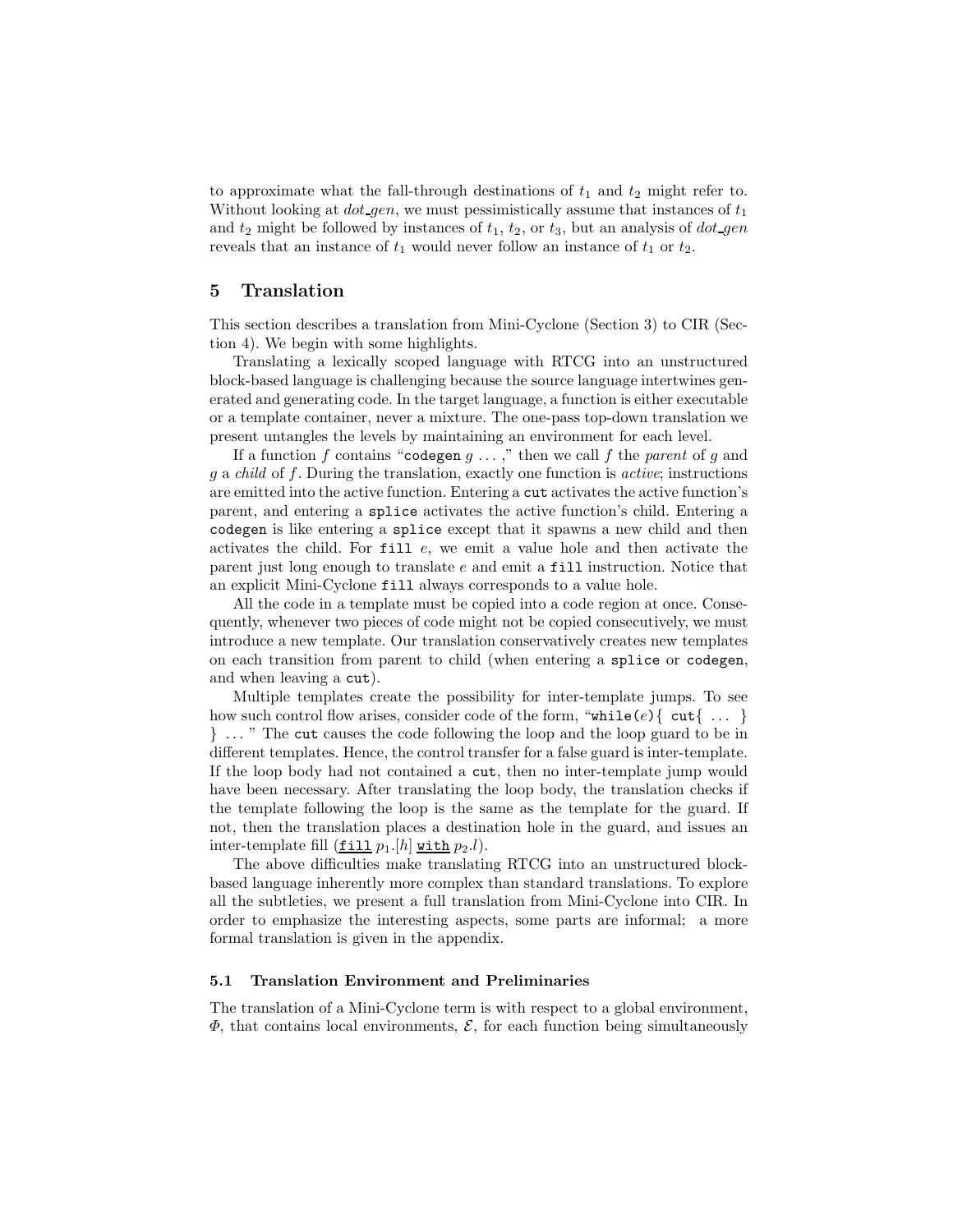to approximate what the fall-through destinations of  $t_1$  and  $t_2$  might refer to. Without looking at  $dot-gen$ , we must pessimistically assume that instances of  $t_1$ and  $t_2$  might be followed by instances of  $t_1$ ,  $t_2$ , or  $t_3$ , but an analysis of  $dot\$ reveals that an instance of  $t_1$  would never follow an instance of  $t_1$  or  $t_2$ .

## **5 Translation**

This section describes a translation from Mini-Cyclone (Section 3) to CIR (Section 4). We begin with some highlights.

Translating a lexically scoped language with RTCG into an unstructured block-based language is challenging because the source language intertwines generated and generating code. In the target language, a function is either executable or a template container, never a mixture. The one-pass top-down translation we present untangles the levels by maintaining an environment for each level.

If a function f contains "codegen  $g \dots$ ," then we call f the *parent* of g and g a *child* of f. During the translation, exactly one function is *active*; instructions are emitted into the active function. Entering a cut activates the active function's parent, and entering a splice activates the active function's child. Entering a codegen is like entering a splice except that it spawns a new child and then activates the child. For  $fill$  e, we emit a value hole and then activate the parent just long enough to translate e and emit a fill instruction. Notice that an explicit Mini-Cyclone fill always corresponds to a value hole.

All the code in a template must be copied into a code region at once. Consequently, whenever two pieces of code might not be copied consecutively, we must introduce a new template. Our translation conservatively creates new templates on each transition from parent to child (when entering a splice or codegen, and when leaving a cut).

Multiple templates create the possibility for inter-template jumps. To see how such control flow arises, consider code of the form, "while(e){  $cut{$ ... } } ... " The cut causes the code following the loop and the loop guard to be in different templates. Hence, the control transfer for a false guard is inter-template. If the loop body had not contained a cut, then no inter-template jump would have been necessary. After translating the loop body, the translation checks if the template following the loop is the same as the template for the guard. If not, then the translation places a destination hole in the guard, and issues an inter-template fill  $(\underline{\text{fill}} p_1.[h] \underline{\text{with}} p_2.l).$ 

The above difficulties make translating RTCG into an unstructured blockbased language inherently more complex than standard translations. To explore all the subtleties, we present a full translation from Mini-Cyclone into CIR. In order to emphasize the interesting aspects, some parts are informal; a more formal translation is given in the appendix.

#### **5.1 Translation Environment and Preliminaries**

The translation of a Mini-Cyclone term is with respect to a global environment,  $\Phi$ , that contains local environments,  $\mathcal{E}$ , for each function being simultaneously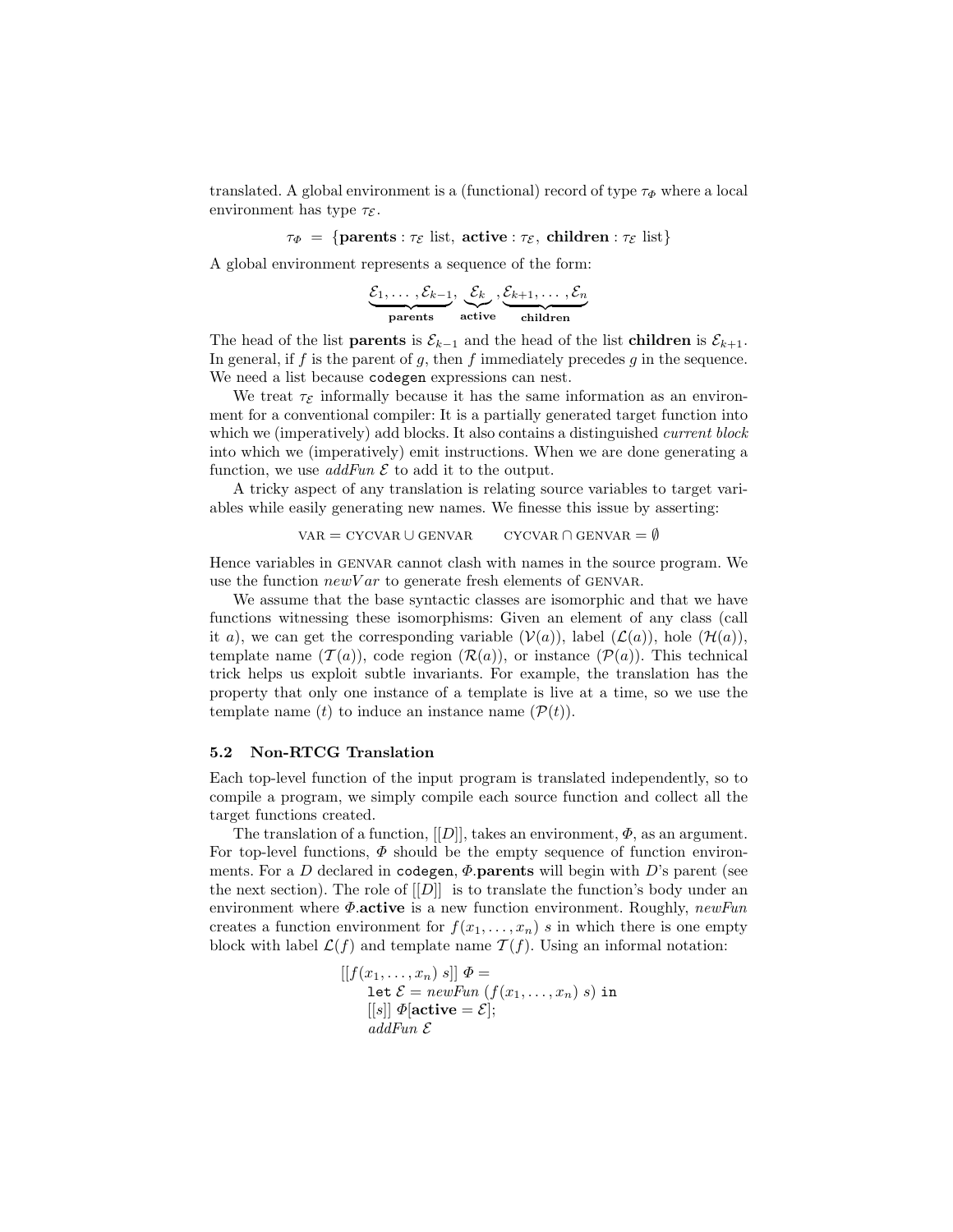translated. A global environment is a (functional) record of type  $\tau_{\Phi}$  where a local environment has type  $\tau_{\mathcal{E}}$ .

 $\tau_{\Phi} = {\text{parents}: \tau_{\mathcal{E}} \text{ list}, \text{active}: \tau_{\mathcal{E}}, \text{ children}: \tau_{\mathcal{E}} \text{ list}}$ 

A global environment represents a sequence of the form:

 $\underbrace{\mathcal{E}_1,\ldots,\mathcal{E}_{k-1}}_{\text{parents}}$ ,  $\mathcal{E}_k$ - **active**  $, \mathcal{E}_{k+1}, \ldots, \mathcal{E}_n$ - **children**

The head of the list **parents** is  $\mathcal{E}_{k-1}$  and the head of the list **children** is  $\mathcal{E}_{k+1}$ . In general, if  $f$  is the parent of  $g$ , then  $f$  immediately precedes  $g$  in the sequence. We need a list because codegen expressions can nest.

We treat  $\tau_{\mathcal{E}}$  informally because it has the same information as an environment for a conventional compiler: It is a partially generated target function into which we (imperatively) add blocks. It also contains a distinguished *current block* into which we (imperatively) emit instructions. When we are done generating a function, we use  $addFun \mathcal{E}$  to add it to the output.

A tricky aspect of any translation is relating source variables to target variables while easily generating new names. We finesse this issue by asserting:

$$
VAR = CYCVAR \cup GENVAR \qquad CYCVAR \cap GENVAR = \emptyset
$$

Hence variables in genvar cannot clash with names in the source program. We use the function  $newVar$  to generate fresh elements of GENVAR.

We assume that the base syntactic classes are isomorphic and that we have functions witnessing these isomorphisms: Given an element of any class (call it a), we can get the corresponding variable  $(V(a))$ , label  $(\mathcal{L}(a))$ , hole  $(\mathcal{H}(a))$ , template name  $(\mathcal{T}(a))$ , code region  $(\mathcal{R}(a))$ , or instance  $(\mathcal{P}(a))$ . This technical trick helps us exploit subtle invariants. For example, the translation has the property that only one instance of a template is live at a time, so we use the template name (t) to induce an instance name  $(\mathcal{P}(t))$ .

### **5.2 Non-RTCG Translation**

Each top-level function of the input program is translated independently, so to compile a program, we simply compile each source function and collect all the target functions created.

The translation of a function,  $[[D]]$ , takes an environment,  $\Phi$ , as an argument. For top-level functions,  $\Phi$  should be the empty sequence of function environments. For a D declared in codegen, Φ.**parents** will begin with D's parent (see the next section). The role of  $[[D]]$  is to translate the function's body under an environment where Φ.**active** is a new function environment. Roughly, *newFun* creates a function environment for  $f(x_1,...,x_n)$  s in which there is one empty block with label  $\mathcal{L}(f)$  and template name  $\mathcal{T}(f)$ . Using an informal notation:

$$
[[f(x_1,...,x_n) s]] \Phi =
$$
  
let  $\mathcal{E} = newFun (f(x_1,...,x_n) s)$  in  
[[s]]  $\Phi$ [active =  $\mathcal{E}$ ];  
addFun  $\mathcal{E}$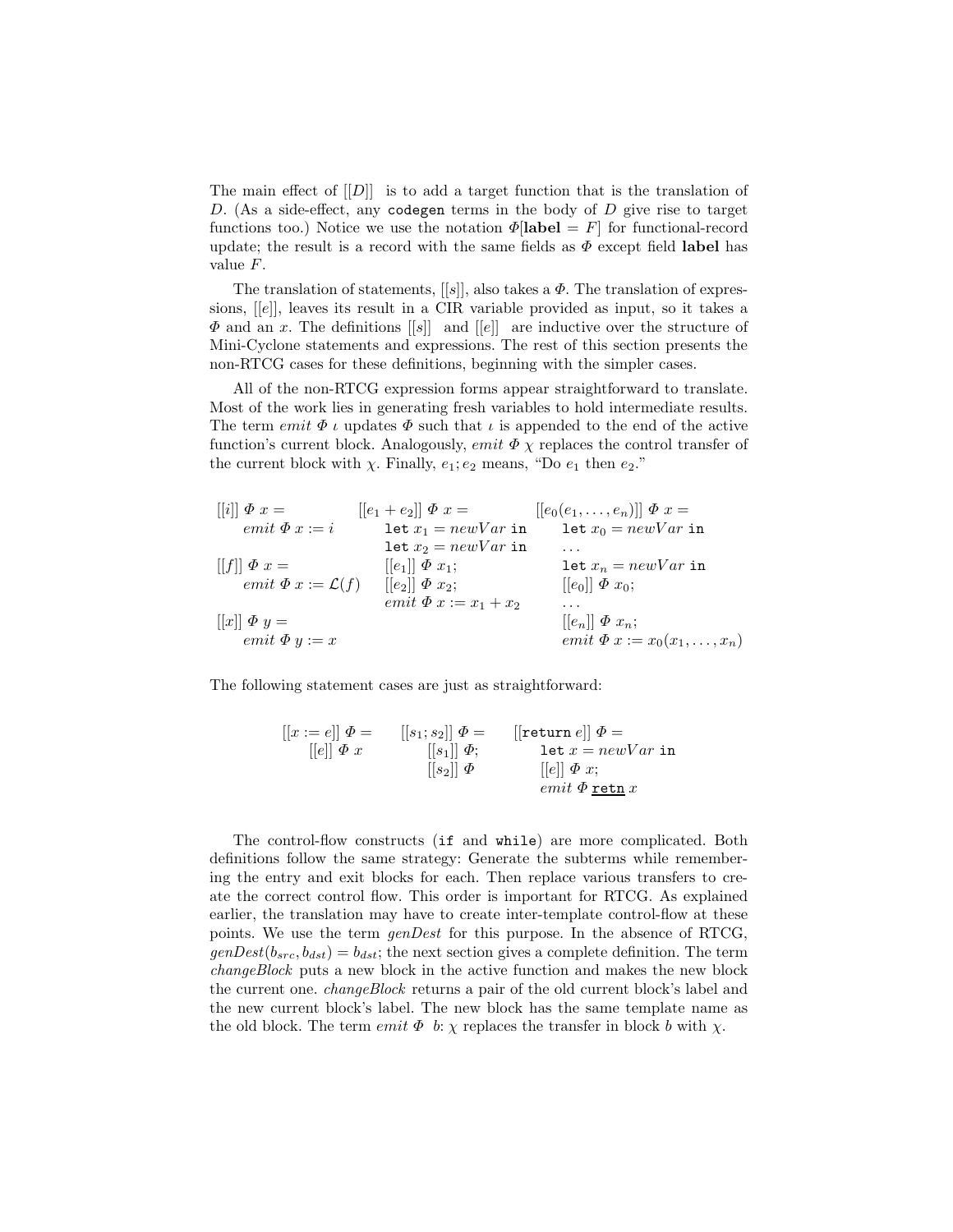The main effect of  $[[D]]$  is to add a target function that is the translation of  $D.$  (As a side-effect, any codegen terms in the body of  $D$  give rise to target functions too.) Notice we use the notation  $\Phi$ [**label** = F] for functional-record update; the result is a record with the same fields as  $\Phi$  except field **label** has value F.

The translation of statements,  $[[s]]$ , also takes a  $\Phi$ . The translation of expressions, [[e]], leaves its result in a CIR variable provided as input, so it takes a  $\Phi$  and an x. The definitions  $\vert s \vert \vert$  and  $\vert \vert e \vert \vert$  are inductive over the structure of Mini-Cyclone statements and expressions. The rest of this section presents the non-RTCG cases for these definitions, beginning with the simpler cases.

All of the non-RTCG expression forms appear straightforward to translate. Most of the work lies in generating fresh variables to hold intermediate results. The term *emit*  $\Phi$  *ι* updates  $\Phi$  such that *ι* is appended to the end of the active function's current block. Analogously, *emit*  $\Phi \chi$  replaces the control transfer of the current block with  $\chi$ . Finally,  $e_1$ ;  $e_2$  means, "Do  $e_1$  then  $e_2$ ."

[[i]] Φ x = emit Φ x := i [[f]] Φ x = emit Φ x := L(f) [[x]] Φ y = emit Φ y := x [[e<sup>1</sup> + e2]] Φ x = let x<sup>1</sup> = newV ar in let x<sup>2</sup> = newV ar in [[e1]] Φ x1; [[e2]] Φ x2; emit Φ x := x<sup>1</sup> + x<sup>2</sup> [[e0(e1,...,en)]] Φ x = let x<sup>0</sup> = newV ar in ... let x<sup>n</sup> = newV ar in [[e0]] Φ x0; ... [[en]] Φ xn; emit Φ x := x0(x1,...,xn)

The following statement cases are just as straightforward:

$$
\begin{array}{llll}\n[[x:=e]] \ \varPhi = & [[s_1;s_2]] \ \varPhi = & [[return e]] \ \varPhi = & \\
[[e]] \ \varPhi \ x & [[s_1]] \ \varPhi; & \text{let} \ x = newVar \ \text{in} \\
&( [s_2]] \ \varPhi & [[e]] \ \varPhi \ x; & \\
& & & \text{emit} \ \varPhi \ \texttt{retn} \ x\n\end{array}
$$

The control-flow constructs (if and while) are more complicated. Both definitions follow the same strategy: Generate the subterms while remembering the entry and exit blocks for each. Then replace various transfers to create the correct control flow. This order is important for RTCG. As explained earlier, the translation may have to create inter-template control-flow at these points. We use the term *genDest* for this purpose. In the absence of RTCG,  $genDest(b_{src}, b_{dst}) = b_{dst}$ ; the next section gives a complete definition. The term *changeBlock* puts a new block in the active function and makes the new block the current one. *changeBlock* returns a pair of the old current block's label and the new current block's label. The new block has the same template name as the old block. The term *emit*  $\Phi$  b:  $\chi$  replaces the transfer in block b with  $\chi$ .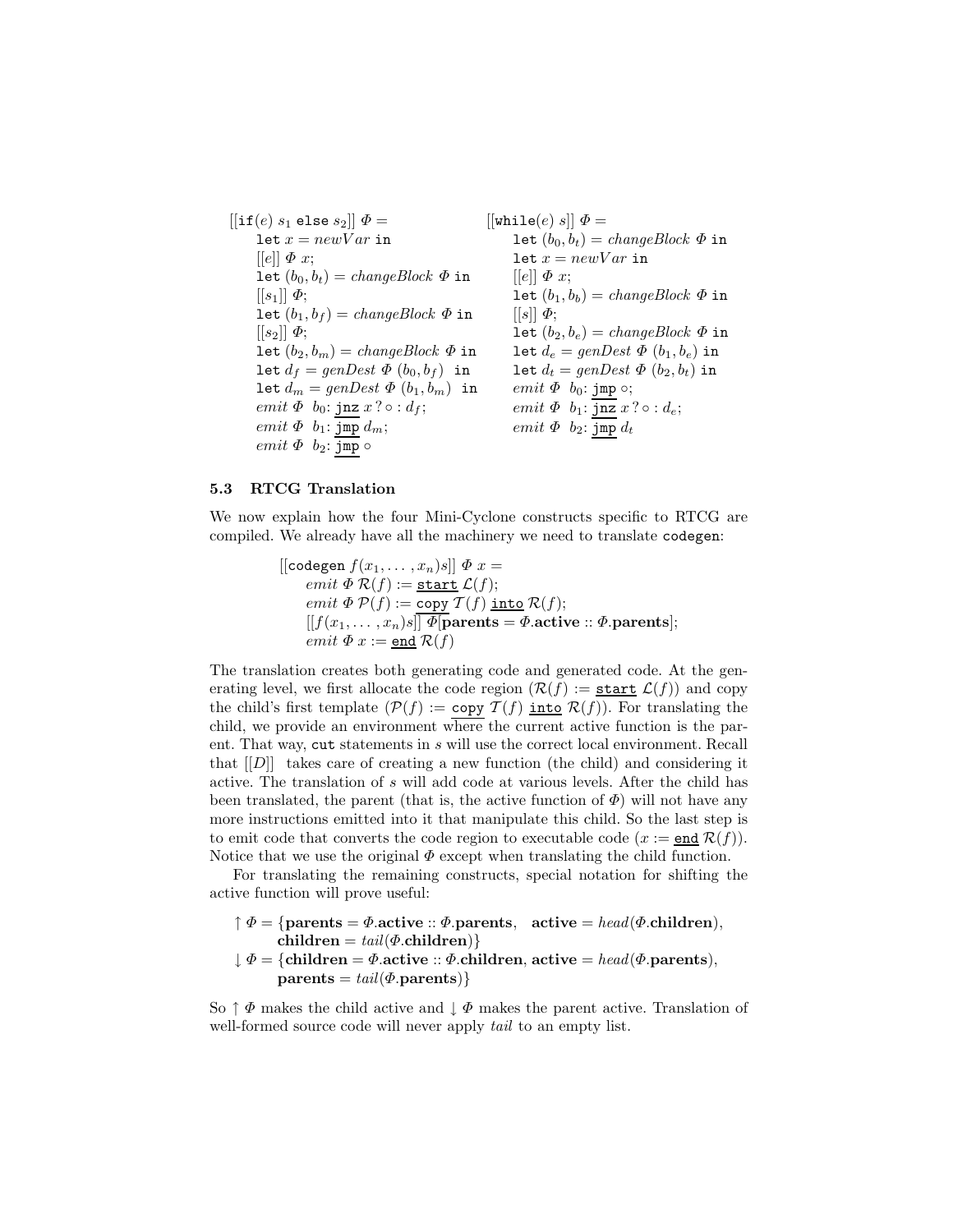$[[if(e) s_1 \text{ else } s_2]] \Phi =$ let  $x = newVar$  in  $[ [e]] \Phi x;$ let  $(b_0, b_t) = changeBlock \Phi$  in  $[[s_1]] \Phi;$ let  $(b_1, b_f) = changeBlock \Phi$  in  $[[s_2]] \Phi;$ let  $(b_2, b_m) = changeBlock \Phi$  in let  $d_f = genDest \Phi(b_0, b_f)$  in let  $d_m = genDest \Phi(b_1, b_m)$  in emit  $\Phi$  b<sub>0</sub>: jnz  $x ? \circ : d_f;$ emit  $\Phi$   $b_1$ :  $\overline{\text{Jmp}}$   $d_m$ ;  $emit \Phi$   $b_2: \overline{\text{jmp}} \circ$  $[[\texttt{while}(e) s]] \Phi =$ let  $(b_0, b_t) = changeBlock \Phi$  in let  $x = newVar$  in  $[|e|] \Phi x;$ let  $(b_1, b_b) = changeBlock \Phi$  in  $[$ [s]]  $\Phi$ ; let  $(b_2, b_e) = changeBlock \Phi$  in let  $d_e = genDest \Phi(b_1, b_e)$  in let  $d_t = genDest \Phi(b_2, b_t)$  in emit  $\Phi$  b<sub>0</sub>: jmp  $\circ$ ; emit  $\Phi$   $b_1$ : jnz  $x ? \circ : d_e$ ; emit  $\Phi$   $b_2$ : jmp  $d_t$ 

#### **5.3 RTCG Translation**

We now explain how the four Mini-Cyclone constructs specific to RTCG are compiled. We already have all the machinery we need to translate codegen:

> $\left[\left[\text{codegen } f(x_1,\ldots,x_n)s\right]\right]\Phi x =$ emit  $\Phi \mathcal{R}(f) := \underline{\text{start}} \mathcal{L}(f);$ emit  $\Phi P(f) := \overline{\text{copy } T(f) \text{ into } \mathcal{R}(f)};$  $[[f(x_1, \ldots, x_n)s]] \overline{\Phi}$ **parents** =  $\Phi$ **.active** ::  $\Phi$ **.parents**]; emit  $\Phi x := \underline{\text{end}} R(f)$

The translation creates both generating code and generated code. At the generating level, we first allocate the code region  $(\mathcal{R}(f)) :=$  start  $\mathcal{L}(f)$  and copy the child's first template  $(\mathcal{P}(f)) := \text{copy } \mathcal{T}(f)$  into  $\mathcal{R}(f)$ ). For translating the child, we provide an environment where the current active function is the parent. That way, cut statements in s will use the correct local environment. Recall that  $[[D]]$  takes care of creating a new function (the child) and considering it active. The translation of s will add code at various levels. After the child has been translated, the parent (that is, the active function of  $\Phi$ ) will not have any more instructions emitted into it that manipulate this child. So the last step is to emit code that converts the code region to executable code  $(x := end R(f)).$ Notice that we use the original  $\Phi$  except when translating the child function.

For translating the remaining constructs, special notation for shifting the active function will prove useful:

- $\uparrow \Phi = \{\text{parents} = \Phi.\text{active} :: \Phi.\text{parents}, \text{active} = head(\Phi.\text{children}),\}$  $children = tail( $\Phi$ .children)$ }
- $\downarrow \Phi = \{$ **children** =  $\Phi$ .active ::  $\Phi$ .children, active =  $head(\Phi$ .parents),  $\textbf{parents} = \text{tail}(\Phi.\textbf{parents})$

So  $\uparrow \Phi$  makes the child active and  $\downarrow \Phi$  makes the parent active. Translation of well-formed source code will never apply *tail* to an empty list.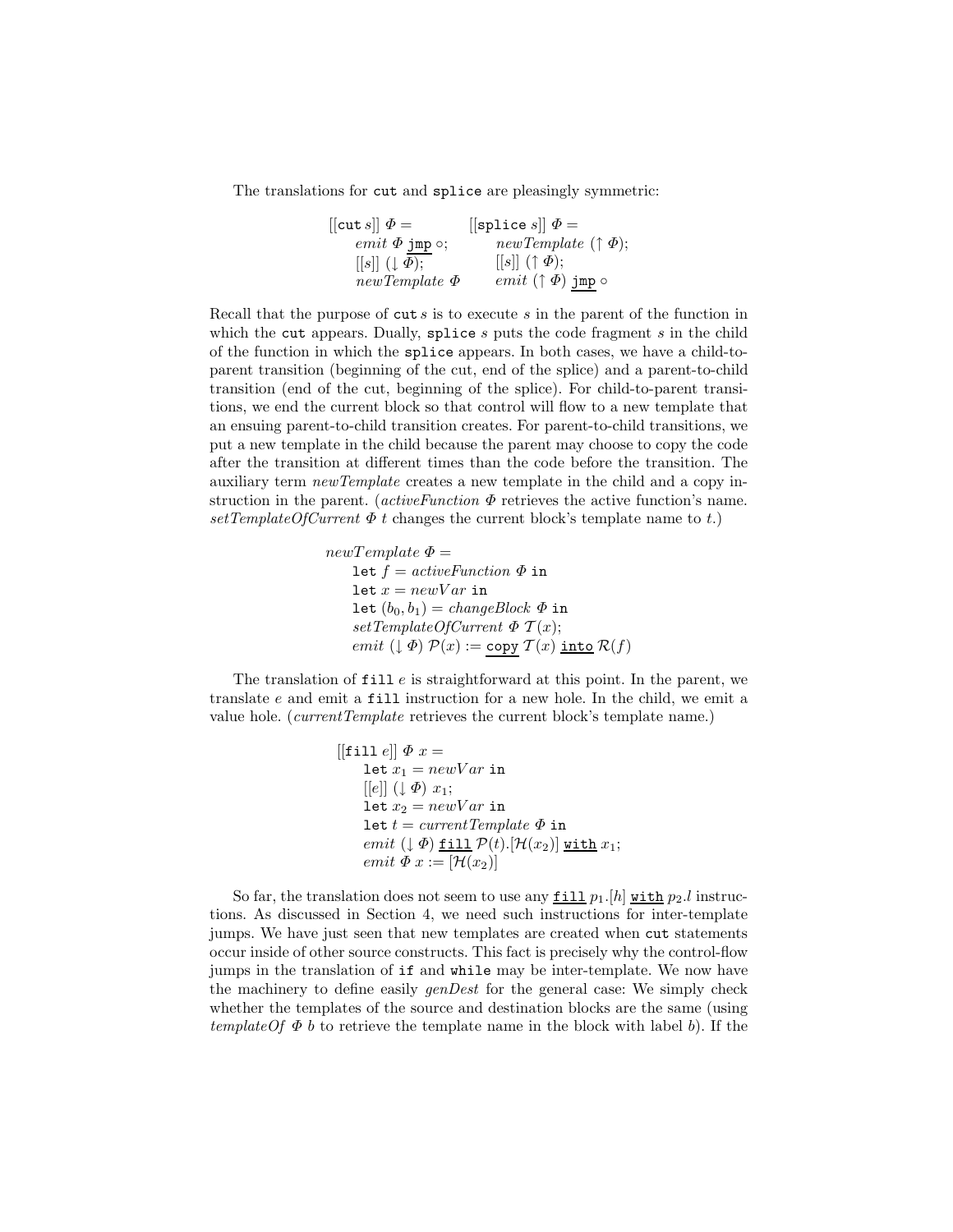The translations for cut and splice are pleasingly symmetric:

 $[[\text{cut } s]] \Phi =$  $emit$   $\Phi$  jmp  $\circ;$  $[[s]]((\downarrow \Phi);$ *newTemplate* Φ  $[$ [splice  $s$ ]  $\Phi =$ *newTemplate* (↑ Φ);  $[[s]]$   $( \uparrow \Phi);$  $\mathit{emit}\;(\uparrow\Phi)$  jmp  $\circ$ 

Recall that the purpose of  $cut s$  is to execute s in the parent of the function in which the cut appears. Dually, splice  $s$  puts the code fragment  $s$  in the child of the function in which the splice appears. In both cases, we have a child-toparent transition (beginning of the cut, end of the splice) and a parent-to-child transition (end of the cut, beginning of the splice). For child-to-parent transitions, we end the current block so that control will flow to a new template that an ensuing parent-to-child transition creates. For parent-to-child transitions, we put a new template in the child because the parent may choose to copy the code after the transition at different times than the code before the transition. The auxiliary term *newTemplate* creates a new template in the child and a copy instruction in the parent. (*activeFunction*  $\Phi$  retrieves the active function's name.  $setTemplateOfCurrent \Phi t$  changes the current block's template name to t.)

> $newTemplate \Phi =$ let  $f = activeFunction \Phi$  in let  $x = newVar$  in let  $(b_0, b_1) = changeBlock \Phi$  in  $setTemplateOfCurrent \Phi T(x);$ emit  $(\downarrow \Phi) \mathcal{P}(x) := \text{copy } \mathcal{T}(x) \text{ into } \mathcal{R}(f)$

The translation of  $\text{fill } e$  is straightforward at this point. In the parent, we translate e and emit a fill instruction for a new hole. In the child, we emit a value hole. (*currentTemplate* retrieves the current block's template name.)

> $[[$ fill  $e$  $\mid$   $\Phi x =$ let  $x_1 = newVar$  in  $[[e]] (\downarrow \Phi) x_1;$ let  $x_2 = newVar$  in let  $t = currentTemplate \Phi$  in emit  $(\downarrow \Phi)$  fill  $\mathcal{P}(t)$ .  $[\mathcal{H}(x_2)]$  with  $x_1$ ; emit  $\Phi x := [\mathcal{H}(x_2)]$

So far, the translation does not seem to use any  $\underline{\text{fill}} p_1$ . [h] with  $p_2$ . l instructions. As discussed in Section 4, we need such instructions for inter-template jumps. We have just seen that new templates are created when cut statements occur inside of other source constructs. This fact is precisely why the control-flow jumps in the translation of if and while may be inter-template. We now have the machinery to define easily *genDest* for the general case: We simply check whether the templates of the source and destination blocks are the same (using *templateOf*  $\Phi$  *b* to retrieve the template name in the block with label *b*). If the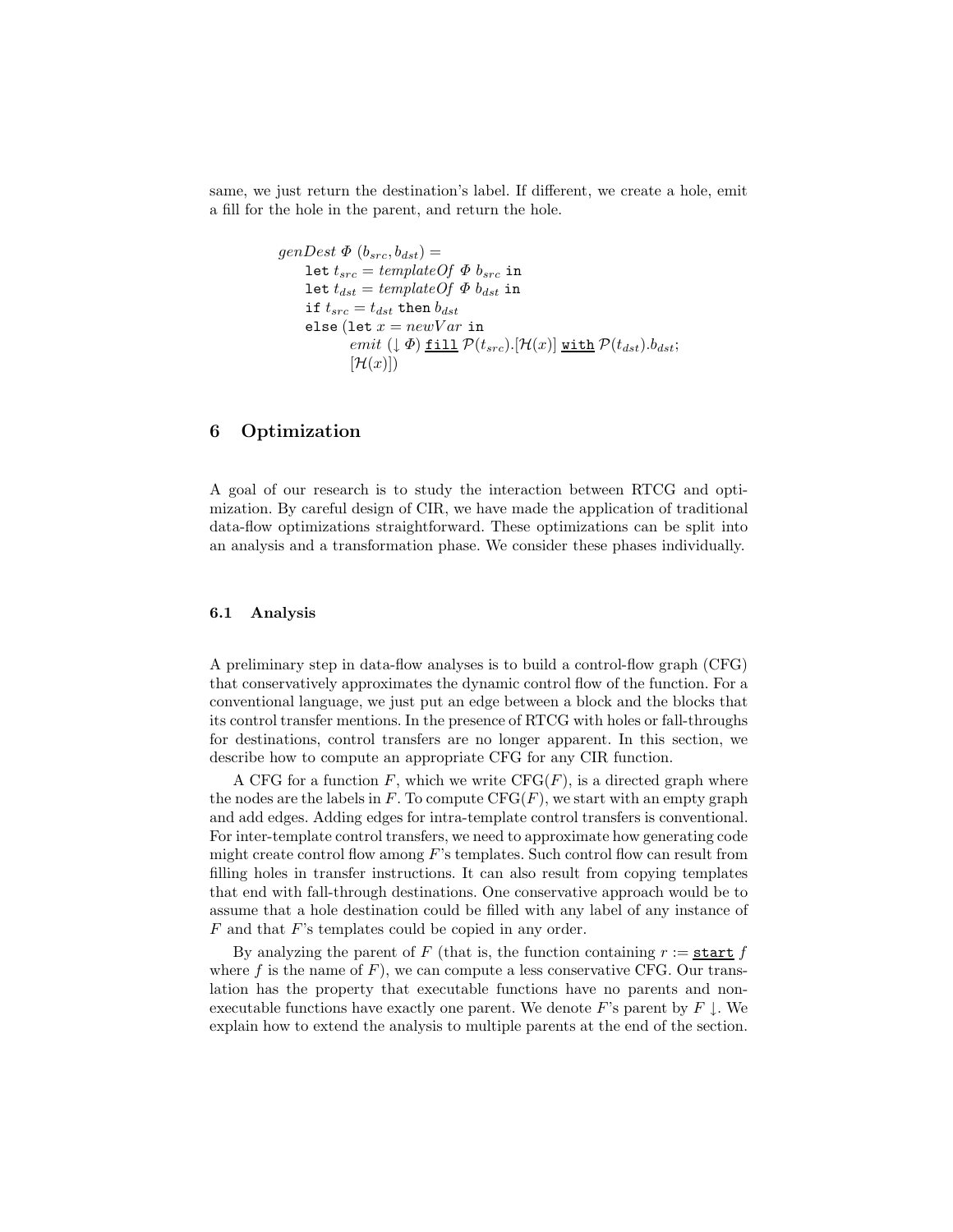same, we just return the destination's label. If different, we create a hole, emit a fill for the hole in the parent, and return the hole.

```
genDest \Phi (b_{src}, b_{dst}) =let t_{src} = templateOf \Phi b_{src} in
      let t_{dst} = templateOf \Phi b_{dst} in
      if t_{src} = t_{dst} then b_{dst}else (let x = newVar in
               emit (\downarrow \Phi) fill \mathcal{P}(t_{src}).[\mathcal{H}(x)] with \mathcal{P}(t_{dst}).bdst;
               [\mathcal{H}(x)]
```
# **6 Optimization**

A goal of our research is to study the interaction between RTCG and optimization. By careful design of CIR, we have made the application of traditional data-flow optimizations straightforward. These optimizations can be split into an analysis and a transformation phase. We consider these phases individually.

#### **6.1 Analysis**

A preliminary step in data-flow analyses is to build a control-flow graph (CFG) that conservatively approximates the dynamic control flow of the function. For a conventional language, we just put an edge between a block and the blocks that its control transfer mentions. In the presence of RTCG with holes or fall-throughs for destinations, control transfers are no longer apparent. In this section, we describe how to compute an appropriate CFG for any CIR function.

A CFG for a function  $F$ , which we write  $CFG(F)$ , is a directed graph where the nodes are the labels in  $F$ . To compute  $CFG(F)$ , we start with an empty graph and add edges. Adding edges for intra-template control transfers is conventional. For inter-template control transfers, we need to approximate how generating code might create control flow among  $F$ 's templates. Such control flow can result from filling holes in transfer instructions. It can also result from copying templates that end with fall-through destinations. One conservative approach would be to assume that a hole destination could be filled with any label of any instance of F and that F's templates could be copied in any order.

By analyzing the parent of F (that is, the function containing  $r :=$  start f where f is the name of  $F$ ), we can compute a less conservative CFG. Our translation has the property that executable functions have no parents and nonexecutable functions have exactly one parent. We denote F's parent by  $F \downarrow$ . We explain how to extend the analysis to multiple parents at the end of the section.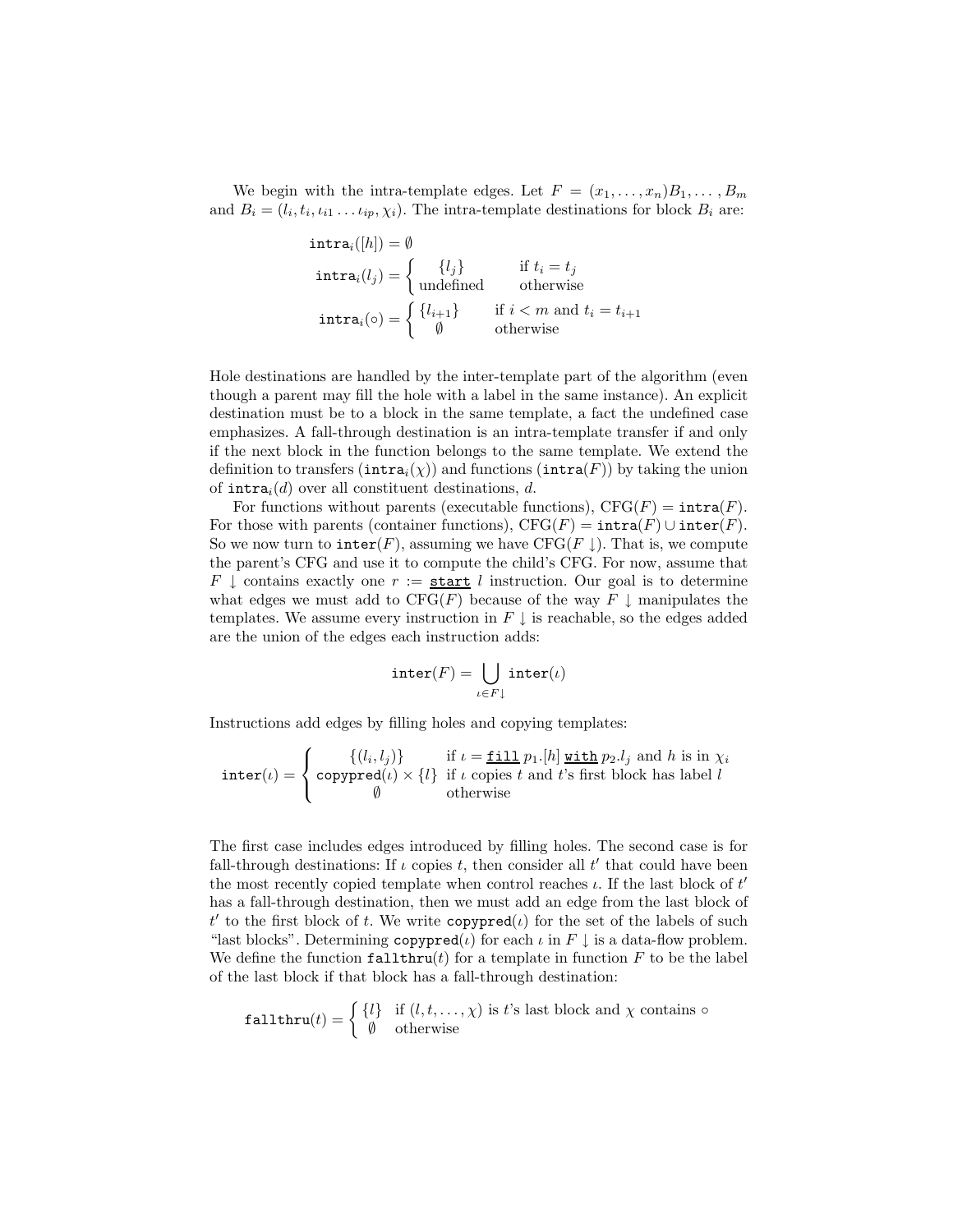We begin with the intra-template edges. Let  $F = (x_1, \ldots, x_n)B_1, \ldots, B_m$ and  $B_i = (l_i, t_i, \iota_{i1} \dots \iota_{ip}, \chi_i)$ . The intra-template destinations for block  $B_i$  are:

$$
\begin{aligned}\n\text{intra}_i([h]) &= \emptyset \\
\text{intra}_i(l_j) &= \n\begin{cases}\n\{l_j\} & \text{if } t_i = t_j \\
\text{undefined} & \text{otherwise}\n\end{cases} \\
\text{intra}_i(\circ) &= \n\begin{cases}\n\{l_{i+1}\} & \text{if } i < m \text{ and } t_i = t_{i+1} \\
\emptyset & \text{otherwise}\n\end{cases}\n\end{aligned}
$$

Hole destinations are handled by the inter-template part of the algorithm (even though a parent may fill the hole with a label in the same instance). An explicit destination must be to a block in the same template, a fact the undefined case emphasizes. A fall-through destination is an intra-template transfer if and only if the next block in the function belongs to the same template. We extend the definition to transfers  $(intra_i(\chi))$  and functions  $(intra(F))$  by taking the union of  $intra<sub>i</sub>(d)$  over all constituent destinations, d.

For functions without parents (executable functions),  $CFG(F) = \text{intra}(F)$ . For those with parents (container functions),  $CFG(F) = \text{intra}(F) \cup \text{inter}(F)$ . So we now turn to  $\text{inter}(F)$ , assuming we have CFG(F  $\downarrow$ ). That is, we compute the parent's CFG and use it to compute the child's CFG. For now, assume that F  $\downarrow$  contains exactly one  $r :=$  start l instruction. Our goal is to determine what edges we must add to  $CFG(F)$  because of the way  $F \downarrow$  manipulates the templates. We assume every instruction in  $F \perp$  is reachable, so the edges added are the union of the edges each instruction adds:

$$
\mathtt{inter}(F) = \bigcup_{\iota \in F\downarrow} \mathtt{inter}(\iota)
$$

Instructions add edges by filling holes and copying templates:

$$
\text{inter}(\iota) = \begin{cases} \{(l_i, l_j)\} & \text{if } \iota = \underline{\mathtt{fill}} \ p_1.[h] \text{ with } p_2.l_j \text{ and } h \text{ is in } \chi_i \\ \text{copyped}(\iota) \times \{l\} & \text{if } \iota \text{ copies } t \text{ and } t \text{'s first block has label } l \\ \emptyset & \text{otherwise} \end{cases}
$$

The first case includes edges introduced by filling holes. The second case is for fall-through destinations: If  $\iota$  copies  $t$ , then consider all  $t'$  that could have been the most recently copied template when control reaches  $\iota$ . If the last block of  $t'$ has a fall-through destination, then we must add an edge from the last block of t' to the first block of t. We write copypred( $\iota$ ) for the set of the labels of such "last blocks". Determining  $\mathsf{copypred}(\iota)$  for each  $\iota$  in  $F \downarrow$  is a data-flow problem. We define the function  $\texttt{fallthru}(t)$  for a template in function F to be the label of the last block if that block has a fall-through destination:

$$
fallthru(t) = \begin{cases} \{l\} & \text{if } (l, t, \dots, \chi) \text{ is } t\text{'s last block and } \chi \text{ contains } \circ \\ \emptyset & \text{otherwise} \end{cases}
$$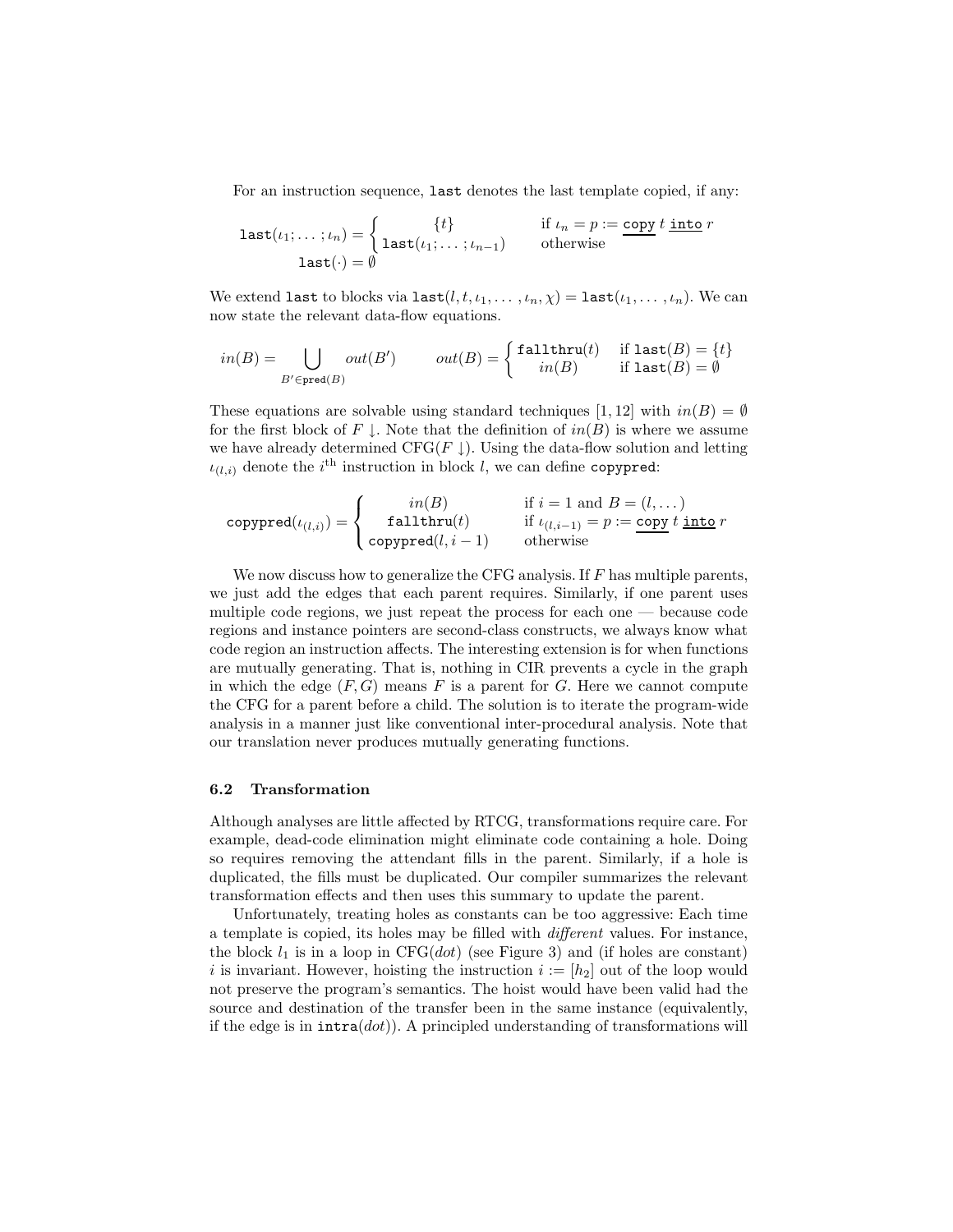For an instruction sequence, last denotes the last template copied, if any:

$$
\mathtt{last}(\iota_1; \dots; \iota_n) = \begin{cases} \n\{t\} & \text{if } \iota_n = p := \underline{\text{copy}} \ t \underline{\text{ into}} \ r \\ \n\mathtt{last}(\cdot) = \emptyset & \text{otherwise}\n\end{cases}
$$

We extend last to blocks via last  $(l, t, \iota_1, \ldots, \iota_n, \chi) = \texttt{last}(\iota_1, \ldots, \iota_n)$ . We can now state the relevant data-flow equations.

$$
in(B) = \bigcup_{B' \in \texttt{pred}(B)} out(B') \qquad out(B) = \left\{ \begin{matrix} \mathtt{fallthru}(t) & \text{if } \mathtt{last}(B) = \{t\} \\ in(B) & \text{if } \mathtt{last}(B) = \emptyset \end{matrix} \right.
$$

These equations are solvable using standard techniques [1, 12] with  $in(B) = \emptyset$ for the first block of F  $\downarrow$ . Note that the definition of  $in(B)$  is where we assume we have already determined CFG( $F \downarrow$ ). Using the data-flow solution and letting  $\iota_{(l,i)}$  denote the  $i^{\text{th}}$  instruction in block l, we can define copypred:

$$
\text{copypred}(\iota_{(l,i)}) = \left\{ \begin{array}{cl} in(B) & \text{if } i = 1 \text{ and } B = (l, \dots) \\ \text{fallthru}(t) & \text{if } \iota_{(l,i-1)} = p := \underline{\text{copy}} \; t \; \underline{\text{into}} \; r \\ \text{copypred}(l, i-1) & \text{otherwise} \end{array} \right.
$$

We now discuss how to generalize the CFG analysis. If  $F$  has multiple parents, we just add the edges that each parent requires. Similarly, if one parent uses multiple code regions, we just repeat the process for each one — because code regions and instance pointers are second-class constructs, we always know what code region an instruction affects. The interesting extension is for when functions are mutually generating. That is, nothing in CIR prevents a cycle in the graph in which the edge  $(F, G)$  means F is a parent for G. Here we cannot compute the CFG for a parent before a child. The solution is to iterate the program-wide analysis in a manner just like conventional inter-procedural analysis. Note that our translation never produces mutually generating functions.

#### **6.2 Transformation**

Although analyses are little affected by RTCG, transformations require care. For example, dead-code elimination might eliminate code containing a hole. Doing so requires removing the attendant fills in the parent. Similarly, if a hole is duplicated, the fills must be duplicated. Our compiler summarizes the relevant transformation effects and then uses this summary to update the parent.

Unfortunately, treating holes as constants can be too aggressive: Each time a template is copied, its holes may be filled with *different* values. For instance, the block  $l_1$  is in a loop in CFG(dot) (see Figure 3) and (if holes are constant) i is invariant. However, hoisting the instruction  $i := [h_2]$  out of the loop would not preserve the program's semantics. The hoist would have been valid had the source and destination of the transfer been in the same instance (equivalently, if the edge is in  $intra(dot)$ ). A principled understanding of transformations will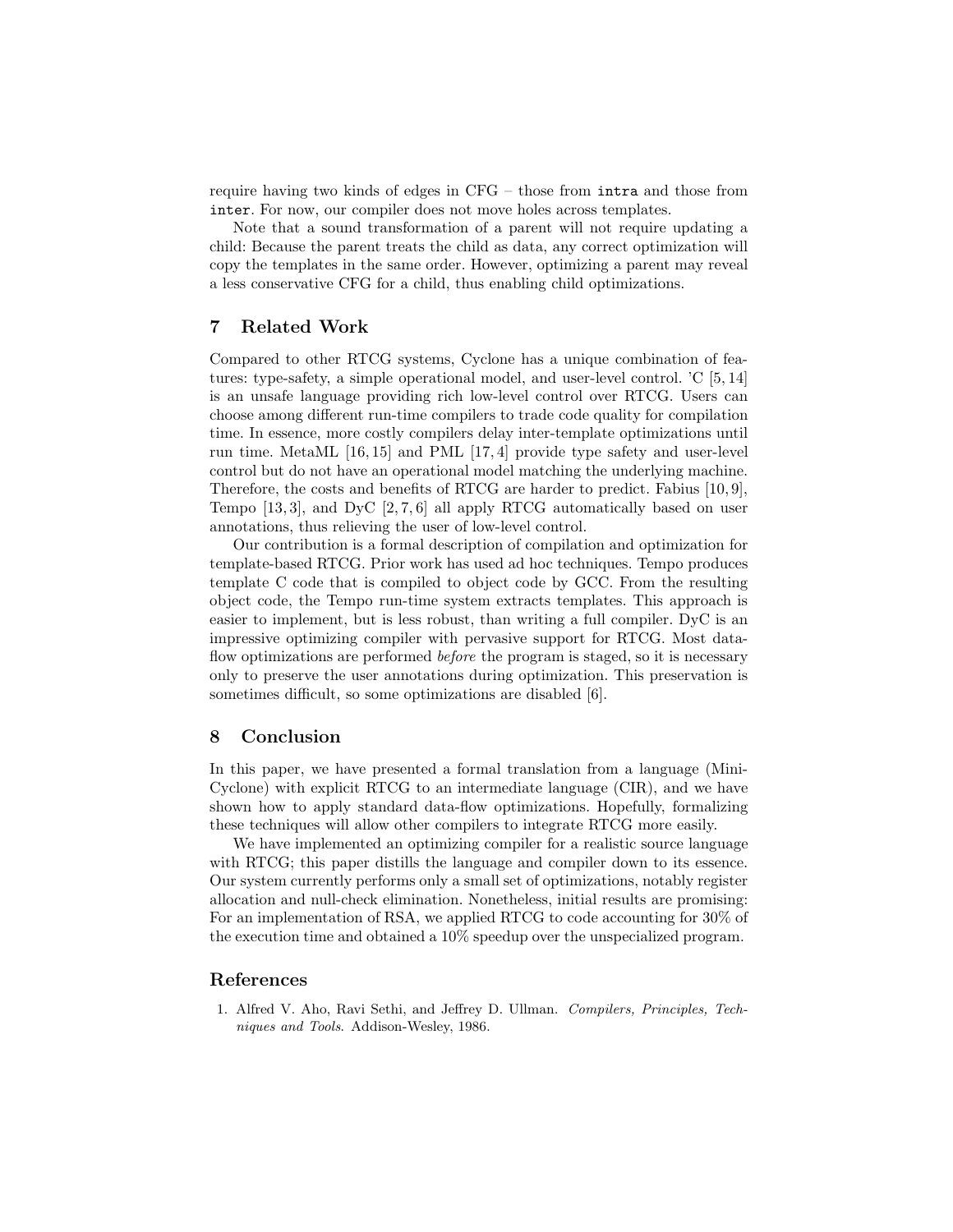require having two kinds of edges in CFG – those from intra and those from inter. For now, our compiler does not move holes across templates.

Note that a sound transformation of a parent will not require updating a child: Because the parent treats the child as data, any correct optimization will copy the templates in the same order. However, optimizing a parent may reveal a less conservative CFG for a child, thus enabling child optimizations.

## **7 Related Work**

Compared to other RTCG systems, Cyclone has a unique combination of features: type-safety, a simple operational model, and user-level control. 'C [5, 14] is an unsafe language providing rich low-level control over RTCG. Users can choose among different run-time compilers to trade code quality for compilation time. In essence, more costly compilers delay inter-template optimizations until run time. MetaML [16, 15] and PML [17, 4] provide type safety and user-level control but do not have an operational model matching the underlying machine. Therefore, the costs and benefits of RTCG are harder to predict. Fabius [10, 9], Tempo  $[13, 3]$ , and DyC  $[2, 7, 6]$  all apply RTCG automatically based on user annotations, thus relieving the user of low-level control.

Our contribution is a formal description of compilation and optimization for template-based RTCG. Prior work has used ad hoc techniques. Tempo produces template C code that is compiled to object code by GCC. From the resulting object code, the Tempo run-time system extracts templates. This approach is easier to implement, but is less robust, than writing a full compiler. DyC is an impressive optimizing compiler with pervasive support for RTCG. Most dataflow optimizations are performed *before* the program is staged, so it is necessary only to preserve the user annotations during optimization. This preservation is sometimes difficult, so some optimizations are disabled [6].

## **8 Conclusion**

In this paper, we have presented a formal translation from a language (Mini-Cyclone) with explicit RTCG to an intermediate language (CIR), and we have shown how to apply standard data-flow optimizations. Hopefully, formalizing these techniques will allow other compilers to integrate RTCG more easily.

We have implemented an optimizing compiler for a realistic source language with RTCG; this paper distills the language and compiler down to its essence. Our system currently performs only a small set of optimizations, notably register allocation and null-check elimination. Nonetheless, initial results are promising: For an implementation of RSA, we applied RTCG to code accounting for 30% of the execution time and obtained a 10% speedup over the unspecialized program.

#### **References**

1. Alfred V. Aho, Ravi Sethi, and Jeffrey D. Ullman. *Compilers, Principles, Techniques and Tools*. Addison-Wesley, 1986.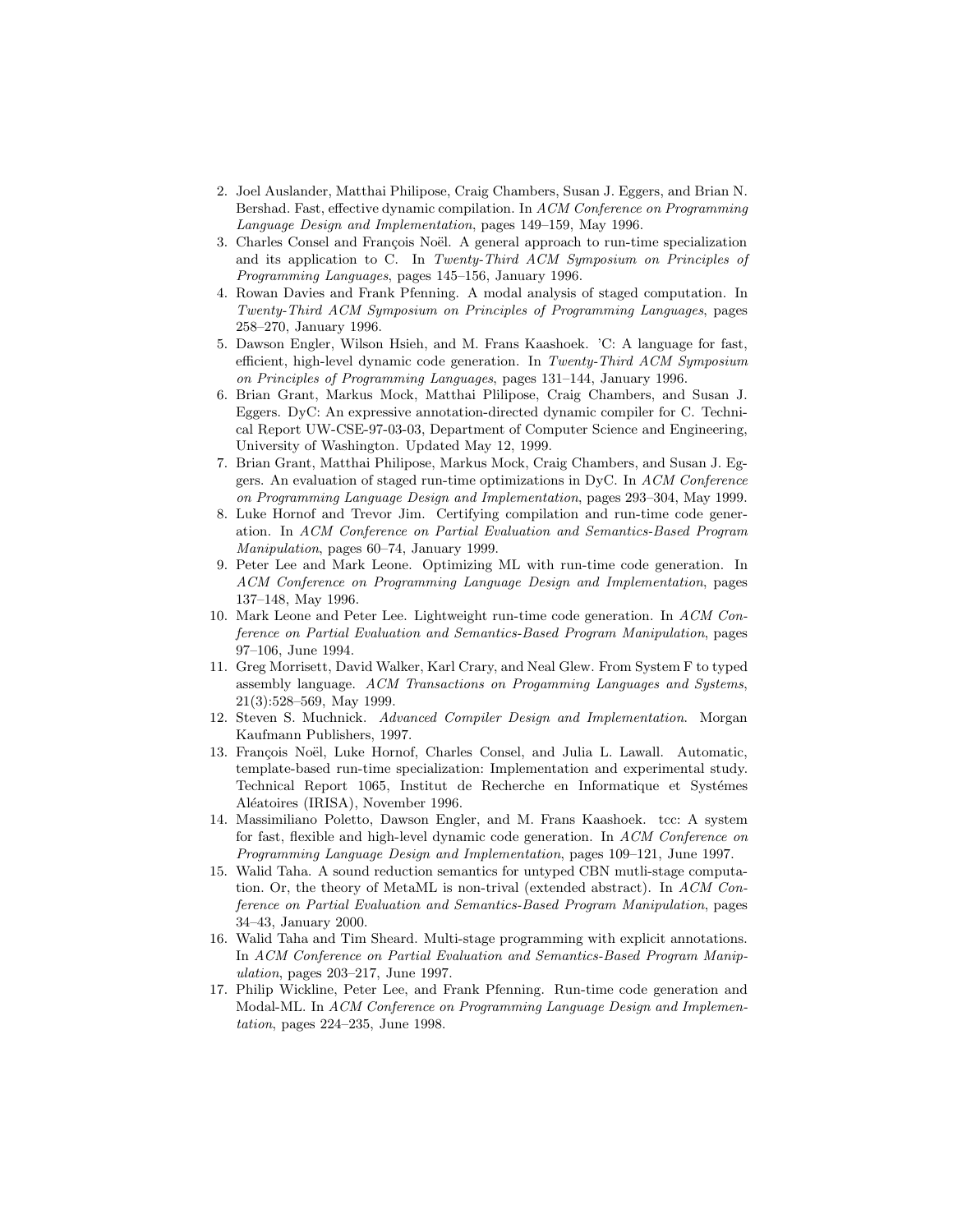- 2. Joel Auslander, Matthai Philipose, Craig Chambers, Susan J. Eggers, and Brian N. Bershad. Fast, effective dynamic compilation. In *ACM Conference on Programming Language Design and Implementation*, pages 149–159, May 1996.
- 3. Charles Consel and François Noël. A general approach to run-time specialization and its application to C. In *Twenty-Third ACM Symposium on Principles of Programming Languages*, pages 145–156, January 1996.
- 4. Rowan Davies and FrankPfenning. A modal analysis of staged computation. In *Twenty-Third ACM Symposium on Principles of Programming Languages*, pages 258–270, January 1996.
- 5. Dawson Engler, Wilson Hsieh, and M. Frans Kaashoek. 'C: A language for fast, efficient, high-level dynamic code generation. In *Twenty-Third ACM Symposium on Principles of Programming Languages*, pages 131–144, January 1996.
- 6. Brian Grant, Markus Mock, Matthai Plilipose, Craig Chambers, and Susan J. Eggers. DyC: An expressive annotation-directed dynamic compiler for C. Technical Report UW-CSE-97-03-03, Department of Computer Science and Engineering, University of Washington. Updated May 12, 1999.
- 7. Brian Grant, Matthai Philipose, Markus Mock, Craig Chambers, and Susan J. Eggers. An evaluation of staged run-time optimizations in DyC. In *ACM Conference on Programming Language Design and Implementation*, pages 293–304, May 1999.
- 8. Luke Hornof and Trevor Jim. Certifying compilation and run-time code generation. In *ACM Conference on Partial Evaluation and Semantics-Based Program Manipulation*, pages 60–74, January 1999.
- 9. Peter Lee and MarkLeone. Optimizing ML with run-time code generation. In *ACM Conference on Programming Language Design and Implementation*, pages 137–148, May 1996.
- 10. MarkLeone and Peter Lee. Lightweight run-time code generation. In *ACM Conference on Partial Evaluation and Semantics-Based Program Manipulation*, pages 97–106, June 1994.
- 11. Greg Morrisett, David Walker, Karl Crary, and Neal Glew. From System F to typed assembly language. *ACM Transactions on Progamming Languages and Systems*, 21(3):528–569, May 1999.
- 12. Steven S. Muchnick. *Advanced Compiler Design and Implementation*. Morgan Kaufmann Publishers, 1997.
- 13. François Noël, Luke Hornof, Charles Consel, and Julia L. Lawall. Automatic, template-based run-time specialization: Implementation and experimental study. Technical Report 1065, Institut de Recherche en Informatique et Systémes Aléatoires (IRISA), November 1996.
- 14. Massimiliano Poletto, Dawson Engler, and M. Frans Kaashoek. tcc: A system for fast, flexible and high-level dynamic code generation. In *ACM Conference on Programming Language Design and Implementation*, pages 109–121, June 1997.
- 15. Walid Taha. A sound reduction semantics for untyped CBN mutli-stage computation. Or, the theory of MetaML is non-trival (extended abstract). In *ACM Conference on Partial Evaluation and Semantics-Based Program Manipulation*, pages 34–43, January 2000.
- 16. Walid Taha and Tim Sheard. Multi-stage programming with explicit annotations. In *ACM Conference on Partial Evaluation and Semantics-Based Program Manipulation*, pages 203–217, June 1997.
- 17. Philip Wickline, Peter Lee, and Frank Pfenning. Run-time code generation and Modal-ML. In *ACM Conference on Programming Language Design and Implementation*, pages 224–235, June 1998.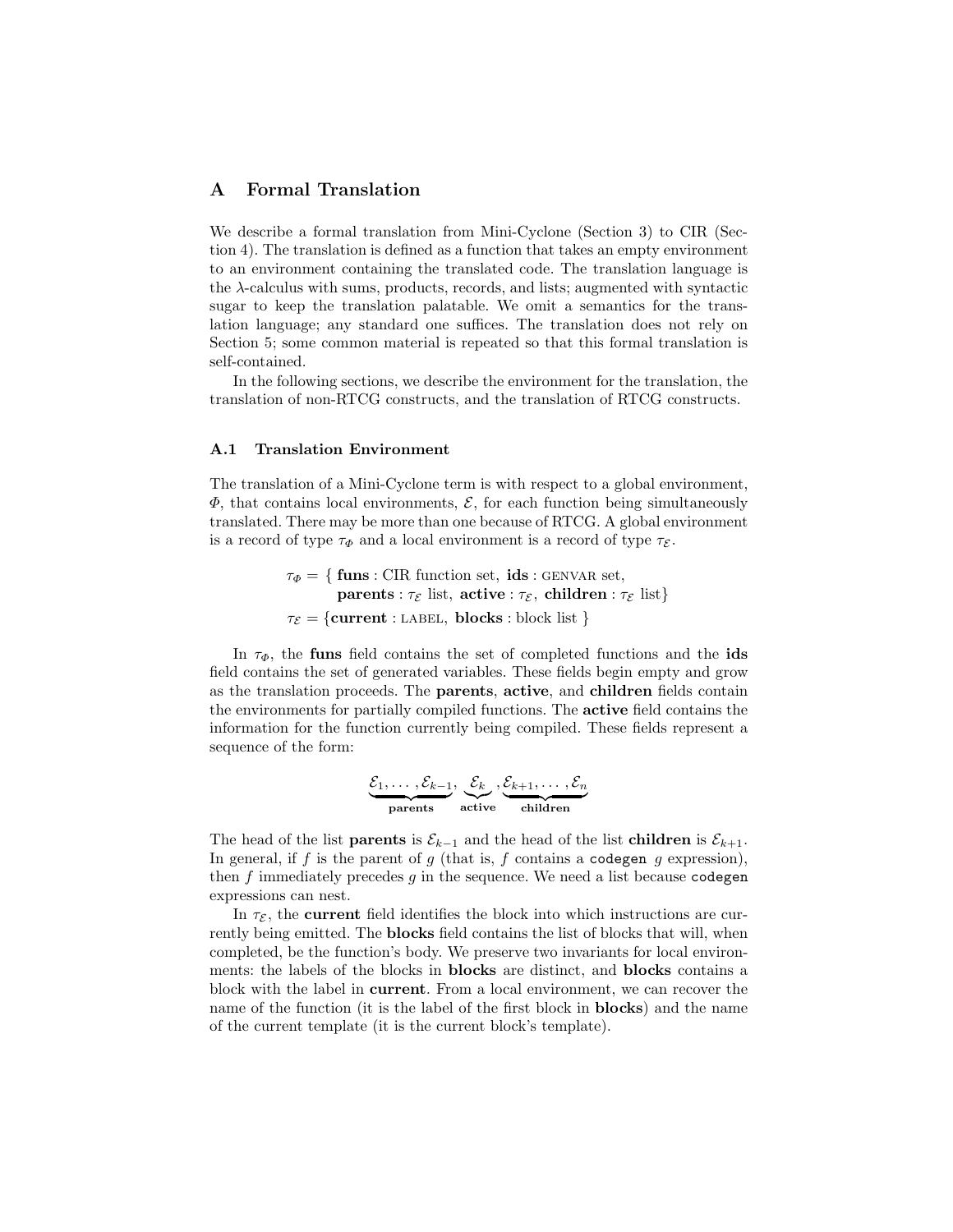## **A Formal Translation**

We describe a formal translation from Mini-Cyclone (Section 3) to CIR (Section 4). The translation is defined as a function that takes an empty environment to an environment containing the translated code. The translation language is the  $\lambda$ -calculus with sums, products, records, and lists; augmented with syntactic sugar to keep the translation palatable. We omit a semantics for the translation language; any standard one suffices. The translation does not rely on Section 5; some common material is repeated so that this formal translation is self-contained.

In the following sections, we describe the environment for the translation, the translation of non-RTCG constructs, and the translation of RTCG constructs.

#### **A.1 Translation Environment**

The translation of a Mini-Cyclone term is with respect to a global environment,  $\Phi$ , that contains local environments,  $\mathcal{E}$ , for each function being simultaneously translated. There may be more than one because of RTCG. A global environment is a record of type  $\tau_{\Phi}$  and a local environment is a record of type  $\tau_{\mathcal{E}}$ .

> $\tau_{\Phi} = \{\text{funs}: \text{CIR function set, } \text{ids}: \text{GENVAR set}, \text{ } \text{Set}, \text{ } \text{ } \}$ **parents** :  $\tau_{\mathcal{E}}$  list, **active** :  $\tau_{\mathcal{E}}$ , **children** :  $\tau_{\mathcal{E}}$  list}  $\tau_{\mathcal{E}} = \{$ **current** : LABEL, **blocks** : block list }

In  $\tau_{\Phi}$ , the **funs** field contains the set of completed functions and the **ids** field contains the set of generated variables. These fields begin empty and grow as the translation proceeds. The **parents**, **active**, and **children** fields contain the environments for partially compiled functions. The **active** field contains the information for the function currently being compiled. These fields represent a sequence of the form:

$$
\underbrace{\mathcal{E}_1,\ldots,\mathcal{E}_{k-1}}_{\text{parents}},\underbrace{\mathcal{E}_k}_{\text{active}},\underbrace{\mathcal{E}_{k+1},\ldots,\mathcal{E}_n}_{\text{children}}
$$

The head of the list **parents** is  $\mathcal{E}_{k-1}$  and the head of the list **children** is  $\mathcal{E}_{k+1}$ . In general, if f is the parent of  $g$  (that is, f contains a codegen  $g$  expression), then  $f$  immediately precedes  $g$  in the sequence. We need a list because codegen expressions can nest.

In  $\tau_{\mathcal{E}}$ , the **current** field identifies the block into which instructions are currently being emitted. The **blocks** field contains the list of blocks that will, when completed, be the function's body. We preserve two invariants for local environments: the labels of the blocks in **blocks** are distinct, and **blocks** contains a block with the label in **current**. From a local environment, we can recover the name of the function (it is the label of the first block in **blocks**) and the name of the current template (it is the current block's template).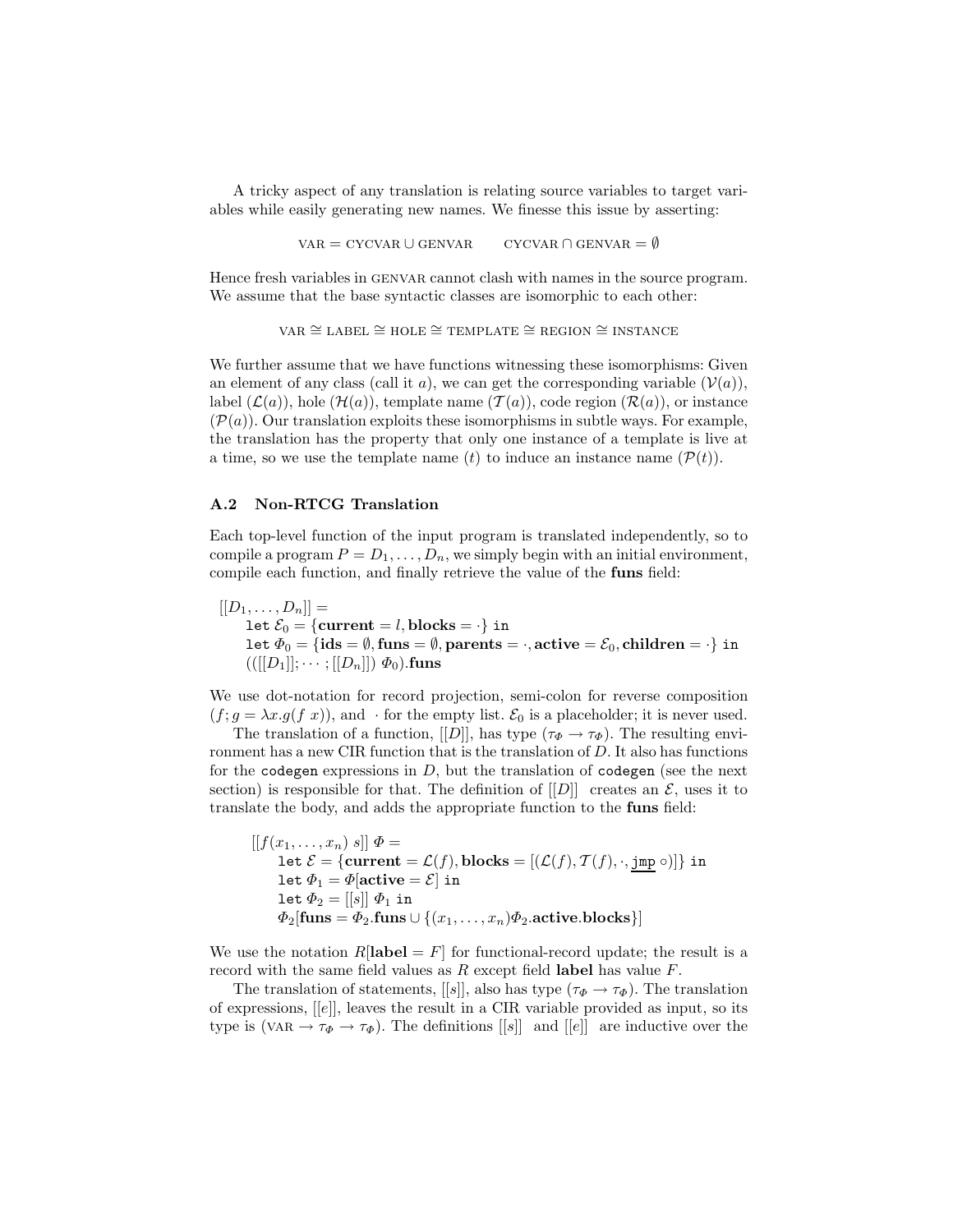A tricky aspect of any translation is relating source variables to target variables while easily generating new names. We finesse this issue by asserting:

 $VAR = CYCVAR ∪ GENVAR$   $CYCVAR ∩ GENVAR = ∅$ 

Hence fresh variables in genvar cannot clash with names in the source program. We assume that the base syntactic classes are isomorphic to each other:

 $VAR \cong LABEL \cong HOLE \cong TEMPLATE \cong REGION \cong INSTANCE$ 

We further assume that we have functions witnessing these isomorphisms: Given an element of any class (call it a), we can get the corresponding variable  $(V(a))$ , label  $(\mathcal{L}(a))$ , hole  $(\mathcal{H}(a))$ , template name  $(\mathcal{T}(a))$ , code region  $(\mathcal{R}(a))$ , or instance  $(\mathcal{P}(a))$ . Our translation exploits these isomorphisms in subtle ways. For example, the translation has the property that only one instance of a template is live at a time, so we use the template name (t) to induce an instance name  $(\mathcal{P}(t))$ .

#### **A.2 Non-RTCG Translation**

Each top-level function of the input program is translated independently, so to compile a program  $P = D_1, \ldots, D_n$ , we simply begin with an initial environment, compile each function, and finally retrieve the value of the **funs** field:

 $[[D_1,\ldots,D_n]] =$ let  $\mathcal{E}_0 = \{$ **current** = *l*, **blocks** =  $\cdot$ } in let  $\Phi_0 = {\bf{ids}} = \emptyset$ , funs =  $\emptyset$ , parents =  $\cdot$ , active =  $\mathcal{E}_0$ , children =  $\cdot$ } in  $(([[D_1]]; \dots; [[D_n]]) \Phi_0)$ **.funs** 

We use dot-notation for record projection, semi-colon for reverse composition  $(f; g = \lambda x. g(f x))$ , and  $\cdot$  for the empty list.  $\mathcal{E}_0$  is a placeholder; it is never used.

The translation of a function,  $[[D]]$ , has type  $(\tau_{\Phi} \to \tau_{\Phi})$ . The resulting environment has a new CIR function that is the translation of D. It also has functions for the codegen expressions in  $D$ , but the translation of codegen (see the next section) is responsible for that. The definition of  $[[D]]$  creates an  $\mathcal{E}$ , uses it to translate the body, and adds the appropriate function to the **funs** field:

$$
[[f(x_1, \ldots, x_n) s]] \Phi =
$$
  
let  $\mathcal{E} = \{\text{current} = \mathcal{L}(f), \text{blocks} = [(\mathcal{L}(f), \mathcal{T}(f), \cdot, \underline{\text{imp}} \circ)]\}$  in  
let  $\Phi_1 = \Phi[\text{active} = \mathcal{E}]$  in  
let  $\Phi_2 = [[s]] \Phi_1$  in  
 $\Phi_2[\text{funs} = \Phi_2.\text{funs} \cup \{(x_1, \ldots, x_n)\Phi_2.\text{active}.\text{blocks}\}]$ 

We use the notation  $R[\text{label} = F]$  for functional-record update; the result is a record with the same field values as R except field **label** has value F.

The translation of statements, [[s]], also has type ( $\tau_{\Phi} \to \tau_{\Phi}$ ). The translation of expressions, [[e]], leaves the result in a CIR variable provided as input, so its type is (VAR  $\rightarrow \tau_{\Phi} \rightarrow \tau_{\Phi}$ ). The definitions [[s]] and [[e]] are inductive over the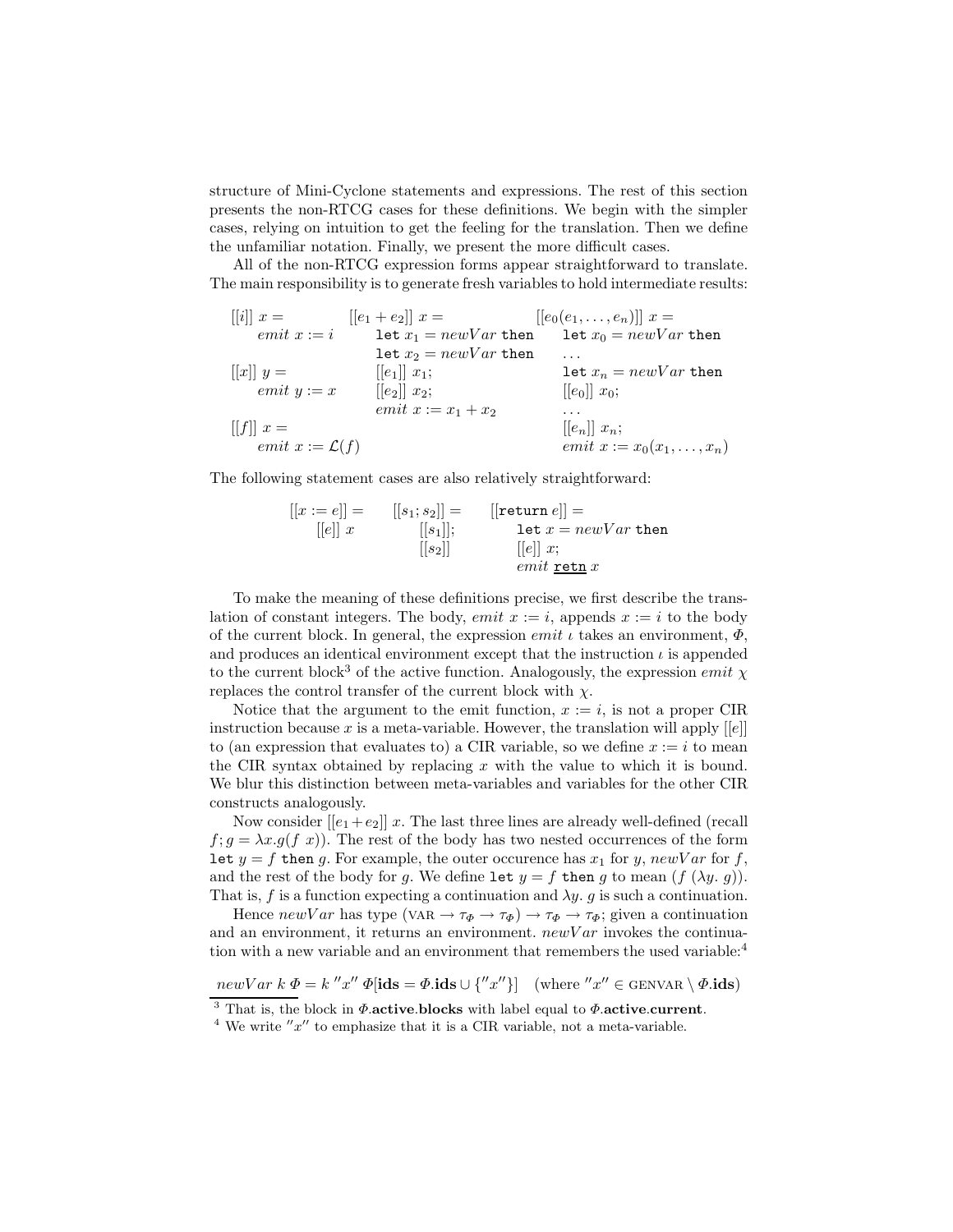structure of Mini-Cyclone statements and expressions. The rest of this section presents the non-RTCG cases for these definitions. We begin with the simpler cases, relying on intuition to get the feeling for the translation. Then we define the unfamiliar notation. Finally, we present the more difficult cases.

All of the non-RTCG expression forms appear straightforward to translate. The main responsibility is to generate fresh variables to hold intermediate results:

| $  i   x =$                                                                                                                           | $[ e_1+e_2 ]x=$              | $[[e_0(e_1,\ldots,e_n)]]$ $x=$              |
|---------------------------------------------------------------------------------------------------------------------------------------|------------------------------|---------------------------------------------|
| $emit x := i$                                                                                                                         | let $x_1 = newVar$ then      | let $x_0 = newVar$ then                     |
|                                                                                                                                       | let $x_2 = newVar$ then      | .                                           |
| $\left\vert \left[ x\right\vert \right\vert y=% \frac{\left( 1\right) }{2\pi }\sqrt{\frac{y^{2}}{2\pi }}\left\vert y\right\vert ^{2}$ | $[[e_1]] x_1;$               | let $x_n = newVar$ then                     |
| $emit y := x$                                                                                                                         | $[[e_2]] x_2;$               | $[ e_0 ] x_0;$                              |
|                                                                                                                                       | <i>emit</i> $x := x_1 + x_2$ | .                                           |
| $  f   x =$                                                                                                                           |                              | $\left[ \left[ e_{n}\right] \right] x_{n};$ |
| emit $x := \mathcal{L}(f)$                                                                                                            |                              | <i>emit</i> $x := x_0(x_1,,x_n)$            |

The following statement cases are also relatively straightforward:

 $[[x := e]] =$  $[[e]] x$  $[[s_1;s_2]]=$  $[[s_1]];$  $[[s_2]]$  $[[return e]] =$ let  $x = newVar$  then  $[|e|]x;$  $emit$  retn  $x$ 

To make the meaning of these definitions precise, we first describe the translation of constant integers. The body, *emit*  $x := i$ , appends  $x := i$  to the body of the current block. In general, the expression *emit*  $\iota$  takes an environment,  $\Phi$ , and produces an identical environment except that the instruction  $\iota$  is appended to the current block<sup>3</sup> of the active function. Analogously, the expression *emit*  $\chi$ replaces the control transfer of the current block with  $\chi$ .

Notice that the argument to the emit function,  $x := i$ , is not a proper CIR instruction because x is a meta-variable. However, the translation will apply  $[[e]]$ to (an expression that evaluates to) a CIR variable, so we define  $x := i$  to mean the CIR syntax obtained by replacing  $x$  with the value to which it is bound. We blur this distinction between meta-variables and variables for the other CIR constructs analogously.

Now consider  $[[e_1 + e_2]]$  x. The last three lines are already well-defined (recall  $f; g = \lambda x. g(f \ x)$ . The rest of the body has two nested occurrences of the form let  $y = f$  then g. For example, the outer occurence has  $x_1$  for y, newV ar for f, and the rest of the body for g. We define let  $y = f$  then g to mean  $(f(\lambda y, g))$ . That is, f is a function expecting a continuation and  $\lambda y$ . g is such a continuation.

Hence  $newVar$  has type  $(VAR \to \tau_{\Phi} \to \tau_{\Phi}) \to \tau_{\Phi} \to \tau_{\Phi}$ ; given a continuation and an environment, it returns an environment.  $newVar$  invokes the continuation with a new variable and an environment that remembers the used variable: $4$ 

 $newVar k \Phi = k''x'' \Phi[ids = \Phi \cdot \text{ids} \cup \{''x''\}]$  (where  $''x'' \in \text{GENVAR} \setminus \Phi \cdot \text{ids})$ <br><sup>3</sup> That is, the block in  $\Phi$  active blocks with label equal to  $\Phi$  active current.

 $3$ <sup>4</sup> We write  $''x''$  to emphasize that it is a CIR variable, not a meta-variable.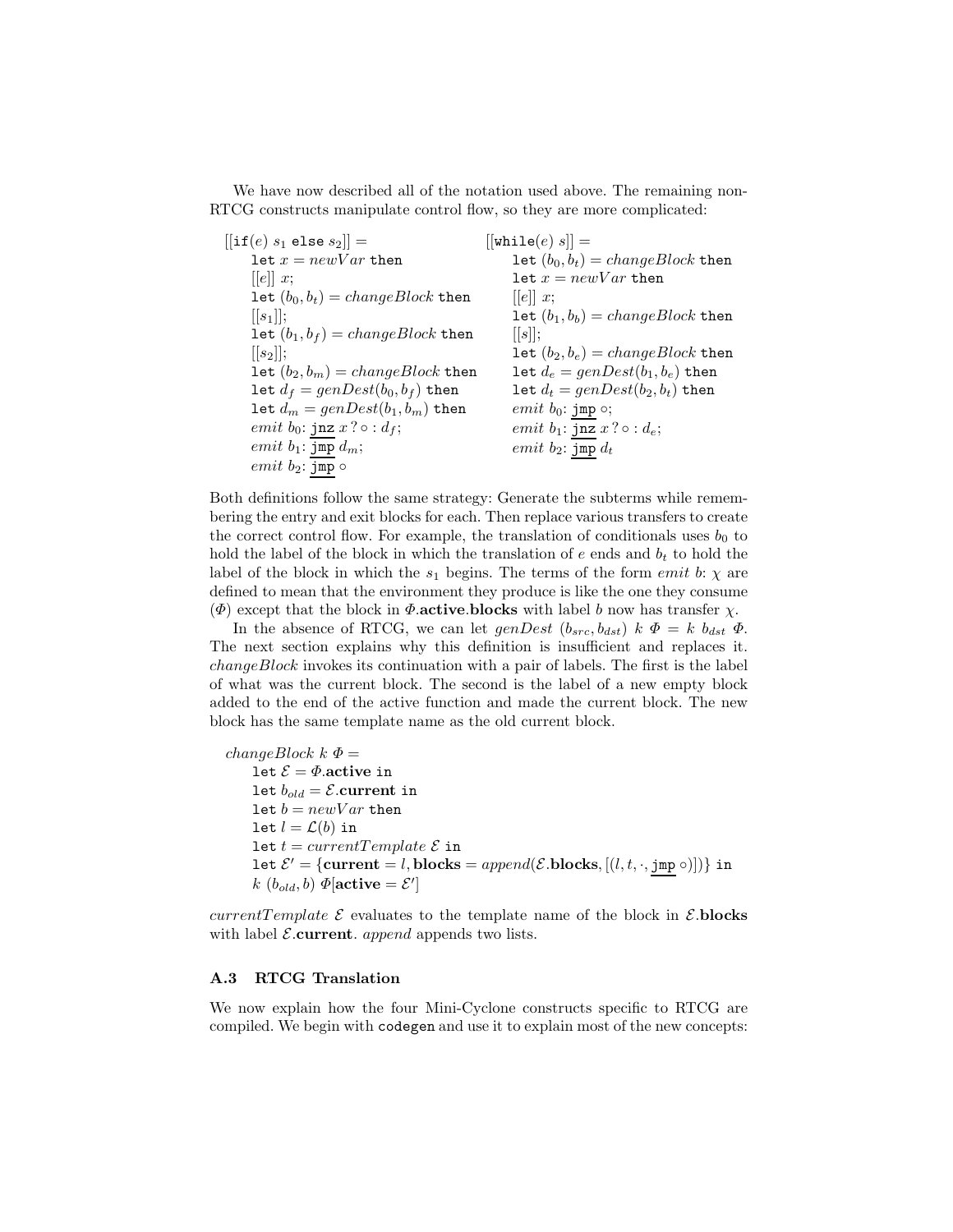We have now described all of the notation used above. The remaining non-RTCG constructs manipulate control flow, so they are more complicated:

 $[[if(e) s_1 \t\t\t\telse $s_1$] =$ let  $x = newVar$  then  $[[e]] x;$ let  $(b_0, b_t) = changeBlock$  then  $[[s_1]]$ ; let  $(b_1, b_f) = changeBlock$  then  $\vert [s_2] \vert;$ let  $(b_2, b_m) = changeBlock$  then let  $d_f = genDest(b_0, b_f)$  then let  $d_m = genDest(b_1, b_m)$  then emit  $b_0$ : jnz  $x ? \circ : d_f$ ; emit  $b_1$ : jmp  $d_m$ ;  $emit b_2$ : jmp  $\circ$  $[[\texttt{while}(e) s]] =$ let  $(b_0, b_t) = changeBlock$  then let  $x = newVar$  then  $[|e|]x;$ let  $(b_1, b_b) = changeBlock$  then  $[|s|];$ let  $(b_2, b_e) = changeBlock$  then let  $d_e = genDest(b_1, b_e)$  then let  $d_t = genDest(b_2, b_t)$  then emit  $b_0$ : jmp  $\circ$ ; emit  $b_1$ :  $\overline{\text{jnz}}\ x$  ?  $\circ$  :  $d_e$ ; emit  $b_2$ : jmp  $d_t$ 

Both definitions follow the same strategy: Generate the subterms while remembering the entry and exit blocks for each. Then replace various transfers to create the correct control flow. For example, the translation of conditionals uses  $b_0$  to hold the label of the block in which the translation of  $e$  ends and  $b_t$  to hold the label of the block in which the  $s_1$  begins. The terms of the form *emit b*:  $\chi$  are defined to mean that the environment they produce is like the one they consume ( $\Phi$ ) except that the block in  $\Phi$ **.active.blocks** with label b now has transfer  $\chi$ .

In the absence of RTCG, we can let  $genDest$   $(b_{src}, b_{dst})$  k  $\Phi = k b_{dst} \Phi$ . The next section explains why this definition is insufficient and replaces it. changeBlock invokes its continuation with a pair of labels. The first is the label of what was the current block. The second is the label of a new empty block added to the end of the active function and made the current block. The new block has the same template name as the old current block.

changeBlock  $k \Phi =$ let  $\mathcal{E} = \Phi$  active in let  $b_{old} = \mathcal{E}$ .current in let  $b = newVar$  then let  $l = \mathcal{L}(b)$  in let  $t = currentTemplate \mathcal{E}$  in let  $\mathcal{E}' = \{$ **current** = *l*, **blocks** =  $append(\mathcal{E}.blocks, [(l, t, \cdot, jmp \circ)])\}$  in  $k \; (b_{old}, b) \; \mathbf{\Phi}[\text{active} = \mathcal{E}']$ 

currentTemplate  $\mathcal E$  evaluates to the template name of the block in  $\mathcal E$ **blocks** with label  $\mathcal{E}$ **current**. appends two lists.

#### **A.3 RTCG Translation**

We now explain how the four Mini-Cyclone constructs specific to RTCG are compiled. We begin with codegen and use it to explain most of the new concepts: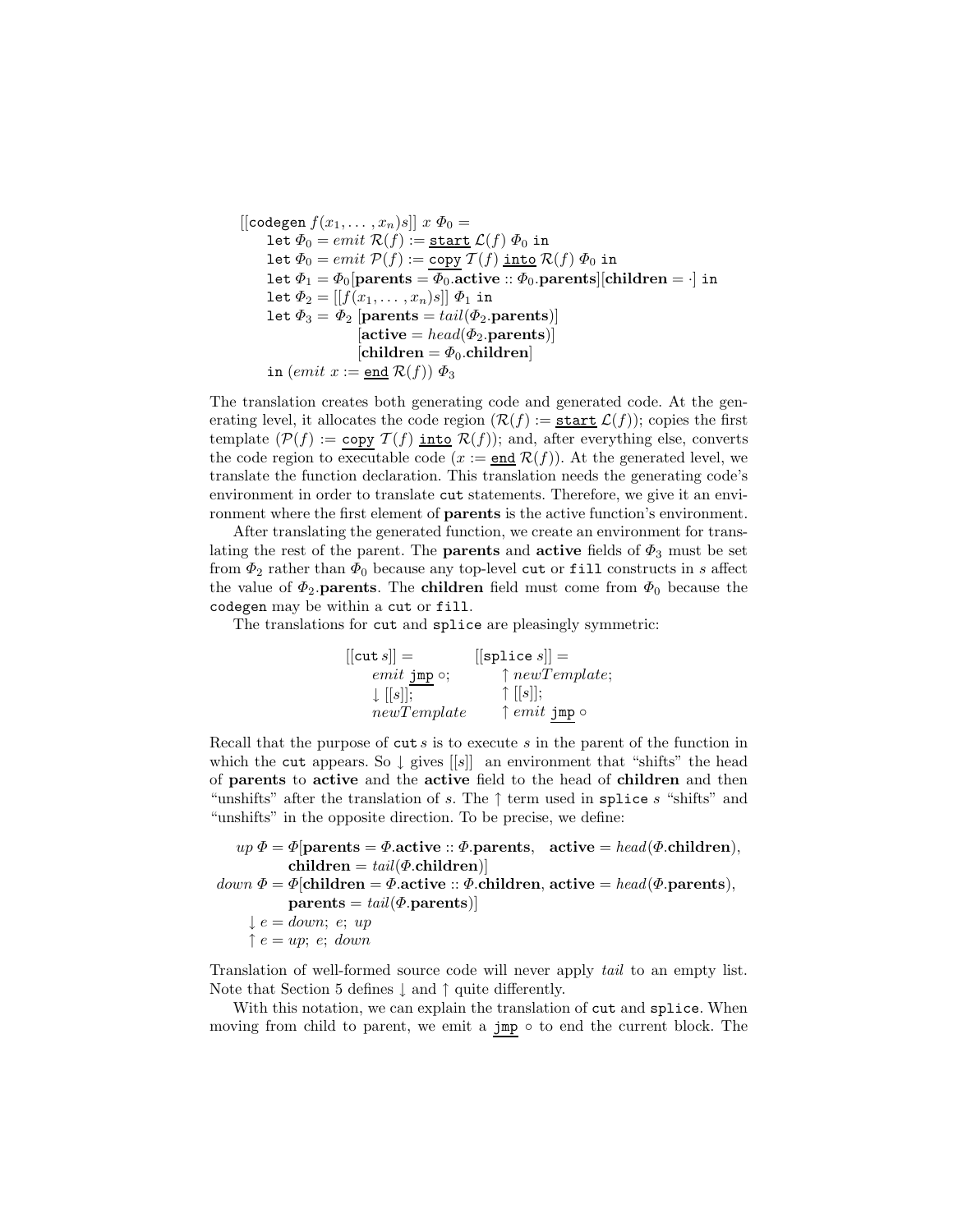$[[codegen f(x<sub>1</sub>,..., x<sub>n</sub>)s]] x  $\Phi_0 =$$ let  $\Phi_0 = emit \mathcal{R}(f) := \underline{\text{start}} \mathcal{L}(f) \Phi_0$  in let  $\Phi_0 = emit \mathcal{P}(f) := \text{copy } \mathcal{T}(f)$  into  $\mathcal{R}(f) \Phi_0$  in let  $\Phi_1 = \Phi_0$  [parents =  $\overline{\Phi_0}$ .active ::  $\Phi_0$ .parents [children =  $\cdot$ ] in let  $\Phi_2 = [[f(x_1, \ldots, x_n)s]] \Phi_1$  in let  $\Phi_3 = \Phi_2$  [parents = tail( $\Phi_2$ **.parents**)]  $[\text{active} = head(\Phi_2.\text{parents})]$  $[children = \Phi_0$ .children in (emit  $x := \underline{\text{end}} R(f)$ )  $\Phi_3$ 

The translation creates both generating code and generated code. At the generating level, it allocates the code region  $(\mathcal{R}(f)) := \underline{\text{start}} \mathcal{L}(f)$ ; copies the first template  $(\mathcal{P}(f)) := \text{copy } \mathcal{T}(f)$  into  $\mathcal{R}(f)$ ; and, after everything else, converts the code region to executable code  $(x := \text{end } \mathcal{R}(f))$ . At the generated level, we translate the function declaration. This translation needs the generating code's environment in order to translate cut statements. Therefore, we give it an environment where the first element of **parents** is the active function's environment.

After translating the generated function, we create an environment for translating the rest of the parent. The **parents** and **active** fields of  $\Phi_3$  must be set from  $\Phi_2$  rather than  $\Phi_0$  because any top-level cut or fill constructs in s affect the value of  $\Phi_2$ **parents**. The **children** field must come from  $\Phi_0$  because the codegen may be within a cut or fill.

The translations for cut and splice are pleasingly symmetric:

 $[[\text{cut } s]] =$  $emit\texttt{jmp}\circ;$  $\downarrow$   $[[s]]$ ; newTemplate  $[$ [splice  $s$ ]] =  $\uparrow$  newTemplate;  $\uparrow$  [[s]]; ↑  $emit$  jmp  $\circ$ 

Recall that the purpose of  $\text{cut } s$  is to execute s in the parent of the function in which the cut appears. So  $\downarrow$  gives [[s]] an environment that "shifts" the head of **parents** to **active** and the **active** field to the head of **children** and then "unshifts" after the translation of s. The  $\uparrow$  term used in splice s "shifts" and "unshifts" in the opposite direction. To be precise, we define:

```
up \Phi = \Phi[parents = \Phi.active :: \Phi.parents, active = head(\Phi.children),
```

```
down \ \Phi = \Phi[children = \Phi.active :: \Phi.children, active = head(\Phi.parents),
              \textbf{parents} = \text{tail}(\Phi.\textbf{parents})
```

```
\downarrow e = down; e; up
```
 $\uparrow e = up$ ; e; down

Translation of well-formed source code will never apply *tail* to an empty list. Note that Section 5 defines  $\downarrow$  and  $\uparrow$  quite differently.

With this notation, we can explain the translation of cut and splice. When moving from child to parent, we emit a jmp ∘ to end the current block. The